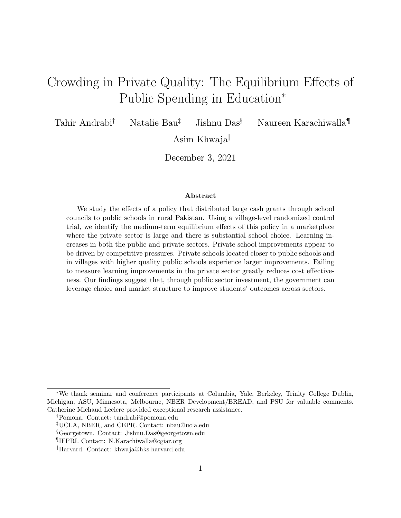# Crowding in Private Quality: The Equilibrium Effects of Public Spending in Education<sup>∗</sup>

Tahir Andrabi† Natalie Bau‡ Jishnu Das§ Naureen Karachiwalla¶

Asim Khwaja‖

December 3, 2021

#### Abstract

We study the effects of a policy that distributed large cash grants through school councils to public schools in rural Pakistan. Using a village-level randomized control trial, we identify the medium-term equilibrium effects of this policy in a marketplace where the private sector is large and there is substantial school choice. Learning increases in both the public and private sectors. Private school improvements appear to be driven by competitive pressures. Private schools located closer to public schools and in villages with higher quality public schools experience larger improvements. Failing to measure learning improvements in the private sector greatly reduces cost effectiveness. Our findings suggest that, through public sector investment, the government can leverage choice and market structure to improve students' outcomes across sectors.

<sup>∗</sup>We thank seminar and conference participants at Columbia, Yale, Berkeley, Trinity College Dublin, Michigan, ASU, Minnesota, Melbourne, NBER Development/BREAD, and PSU for valuable comments. Catherine Michaud Leclerc provided exceptional research assistance.

<sup>†</sup>Pomona. Contact: tandrabi@pomona.edu

<sup>‡</sup>UCLA, NBER, and CEPR. Contact: nbau@ucla.edu

<sup>§</sup>Georgetown. Contact: Jishnu.Das@georgetown.edu

<sup>¶</sup>IFPRI. Contact: N.Karachiwalla@cgiar.org

<sup>‖</sup>Harvard. Contact: khwaja@hks.harvard.edu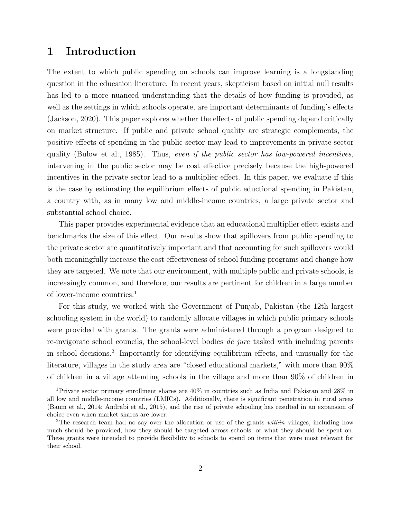### 1 Introduction

The extent to which public spending on schools can improve learning is a longstanding question in the education literature. In recent years, skepticism based on initial null results has led to a more nuanced understanding that the details of how funding is provided, as well as the settings in which schools operate, are important determinants of funding's effects (Jackson, 2020). This paper explores whether the effects of public spending depend critically on market structure. If public and private school quality are strategic complements, the positive effects of spending in the public sector may lead to improvements in private sector quality (Bulow et al., 1985). Thus, even if the public sector has low-powered incentives, intervening in the public sector may be cost effective precisely because the high-powered incentives in the private sector lead to a multiplier effect. In this paper, we evaluate if this is the case by estimating the equilibrium effects of public eductional spending in Pakistan, a country with, as in many low and middle-income countries, a large private sector and substantial school choice.

This paper provides experimental evidence that an educational multiplier effect exists and benchmarks the size of this effect. Our results show that spillovers from public spending to the private sector are quantitatively important and that accounting for such spillovers would both meaningfully increase the cost effectiveness of school funding programs and change how they are targeted. We note that our environment, with multiple public and private schools, is increasingly common, and therefore, our results are pertinent for children in a large number of lower-income countries.<sup>1</sup>

For this study, we worked with the Government of Punjab, Pakistan (the 12th largest schooling system in the world) to randomly allocate villages in which public primary schools were provided with grants. The grants were administered through a program designed to re-invigorate school councils, the school-level bodies de jure tasked with including parents in school decisions.<sup>2</sup> Importantly for identifying equilibrium effects, and unusually for the literature, villages in the study area are "closed educational markets," with more than 90% of children in a village attending schools in the village and more than 90% of children in

<sup>1</sup>Private sector primary enrollment shares are 40% in countries such as India and Pakistan and 28% in all low and middle-income countries (LMICs). Additionally, there is significant penetration in rural areas (Baum et al., 2014; Andrabi et al., 2015), and the rise of private schooling has resulted in an expansion of choice even when market shares are lower.

<sup>&</sup>lt;sup>2</sup>The research team had no say over the allocation or use of the grants *within* villages, including how much should be provided, how they should be targeted across schools, or what they should be spent on. These grants were intended to provide flexibility to schools to spend on items that were most relevant for their school.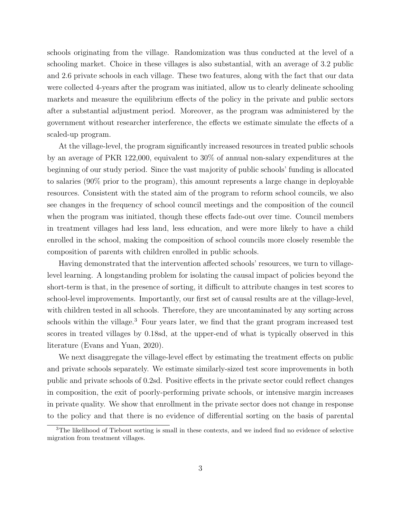schools originating from the village. Randomization was thus conducted at the level of a schooling market. Choice in these villages is also substantial, with an average of 3.2 public and 2.6 private schools in each village. These two features, along with the fact that our data were collected 4-years after the program was initiated, allow us to clearly delineate schooling markets and measure the equilibrium effects of the policy in the private and public sectors after a substantial adjustment period. Moreover, as the program was administered by the government without researcher interference, the effects we estimate simulate the effects of a scaled-up program.

At the village-level, the program significantly increased resources in treated public schools by an average of PKR 122,000, equivalent to 30% of annual non-salary expenditures at the beginning of our study period. Since the vast majority of public schools' funding is allocated to salaries (90% prior to the program), this amount represents a large change in deployable resources. Consistent with the stated aim of the program to reform school councils, we also see changes in the frequency of school council meetings and the composition of the council when the program was initiated, though these effects fade-out over time. Council members in treatment villages had less land, less education, and were more likely to have a child enrolled in the school, making the composition of school councils more closely resemble the composition of parents with children enrolled in public schools.

Having demonstrated that the intervention affected schools' resources, we turn to villagelevel learning. A longstanding problem for isolating the causal impact of policies beyond the short-term is that, in the presence of sorting, it difficult to attribute changes in test scores to school-level improvements. Importantly, our first set of causal results are at the village-level, with children tested in all schools. Therefore, they are uncontaminated by any sorting across schools within the village.<sup>3</sup> Four years later, we find that the grant program increased test scores in treated villages by 0.18sd, at the upper-end of what is typically observed in this literature (Evans and Yuan, 2020).

We next disaggregate the village-level effect by estimating the treatment effects on public and private schools separately. We estimate similarly-sized test score improvements in both public and private schools of 0.2sd. Positive effects in the private sector could reflect changes in composition, the exit of poorly-performing private schools, or intensive margin increases in private quality. We show that enrollment in the private sector does not change in response to the policy and that there is no evidence of differential sorting on the basis of parental

<sup>&</sup>lt;sup>3</sup>The likelihood of Tiebout sorting is small in these contexts, and we indeed find no evidence of selective migration from treatment villages.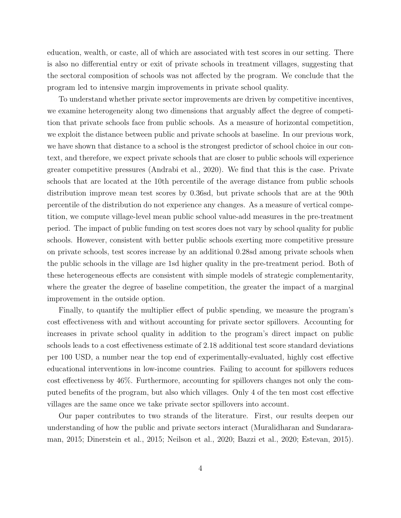education, wealth, or caste, all of which are associated with test scores in our setting. There is also no differential entry or exit of private schools in treatment villages, suggesting that the sectoral composition of schools was not affected by the program. We conclude that the program led to intensive margin improvements in private school quality.

To understand whether private sector improvements are driven by competitive incentives, we examine heterogeneity along two dimensions that arguably affect the degree of competition that private schools face from public schools. As a measure of horizontal competition, we exploit the distance between public and private schools at baseline. In our previous work, we have shown that distance to a school is the strongest predictor of school choice in our context, and therefore, we expect private schools that are closer to public schools will experience greater competitive pressures (Andrabi et al., 2020). We find that this is the case. Private schools that are located at the 10th percentile of the average distance from public schools distribution improve mean test scores by 0.36sd, but private schools that are at the 90th percentile of the distribution do not experience any changes. As a measure of vertical competition, we compute village-level mean public school value-add measures in the pre-treatment period. The impact of public funding on test scores does not vary by school quality for public schools. However, consistent with better public schools exerting more competitive pressure on private schools, test scores increase by an additional 0.28sd among private schools when the public schools in the village are 1sd higher quality in the pre-treatment period. Both of these heterogeneous effects are consistent with simple models of strategic complementarity, where the greater the degree of baseline competition, the greater the impact of a marginal improvement in the outside option.

Finally, to quantify the multiplier effect of public spending, we measure the program's cost effectiveness with and without accounting for private sector spillovers. Accounting for increases in private school quality in addition to the program's direct impact on public schools leads to a cost effectiveness estimate of 2.18 additional test score standard deviations per 100 USD, a number near the top end of experimentally-evaluated, highly cost effective educational interventions in low-income countries. Failing to account for spillovers reduces cost effectiveness by 46%. Furthermore, accounting for spillovers changes not only the computed benefits of the program, but also which villages. Only 4 of the ten most cost effective villages are the same once we take private sector spillovers into account.

Our paper contributes to two strands of the literature. First, our results deepen our understanding of how the public and private sectors interact (Muralidharan and Sundararaman, 2015; Dinerstein et al., 2015; Neilson et al., 2020; Bazzi et al., 2020; Estevan, 2015).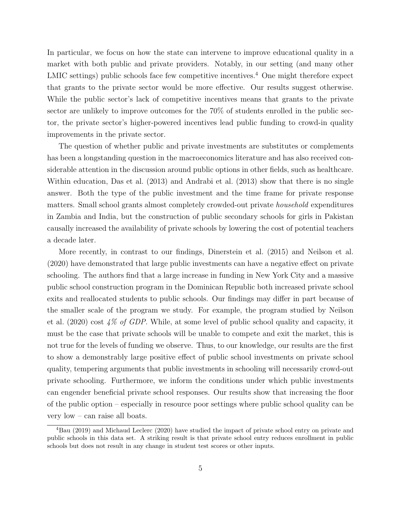In particular, we focus on how the state can intervene to improve educational quality in a market with both public and private providers. Notably, in our setting (and many other LMIC settings) public schools face few competitive incentives.<sup>4</sup> One might therefore expect that grants to the private sector would be more effective. Our results suggest otherwise. While the public sector's lack of competitive incentives means that grants to the private sector are unlikely to improve outcomes for the 70% of students enrolled in the public sector, the private sector's higher-powered incentives lead public funding to crowd-in quality improvements in the private sector.

The question of whether public and private investments are substitutes or complements has been a longstanding question in the macroeconomics literature and has also received considerable attention in the discussion around public options in other fields, such as healthcare. Within education, Das et al. (2013) and Andrabi et al. (2013) show that there is no single answer. Both the type of the public investment and the time frame for private response matters. Small school grants almost completely crowded-out private household expenditures in Zambia and India, but the construction of public secondary schools for girls in Pakistan causally increased the availability of private schools by lowering the cost of potential teachers a decade later.

More recently, in contrast to our findings, Dinerstein et al. (2015) and Neilson et al. (2020) have demonstrated that large public investments can have a negative effect on private schooling. The authors find that a large increase in funding in New York City and a massive public school construction program in the Dominican Republic both increased private school exits and reallocated students to public schools. Our findings may differ in part because of the smaller scale of the program we study. For example, the program studied by Neilson et al. (2020) cost 4% of GDP. While, at some level of public school quality and capacity, it must be the case that private schools will be unable to compete and exit the market, this is not true for the levels of funding we observe. Thus, to our knowledge, our results are the first to show a demonstrably large positive effect of public school investments on private school quality, tempering arguments that public investments in schooling will necessarily crowd-out private schooling. Furthermore, we inform the conditions under which public investments can engender beneficial private school responses. Our results show that increasing the floor of the public option – especially in resource poor settings where public school quality can be very low – can raise all boats.

<sup>4</sup>Bau (2019) and Michaud Leclerc (2020) have studied the impact of private school entry on private and public schools in this data set. A striking result is that private school entry reduces enrollment in public schools but does not result in any change in student test scores or other inputs.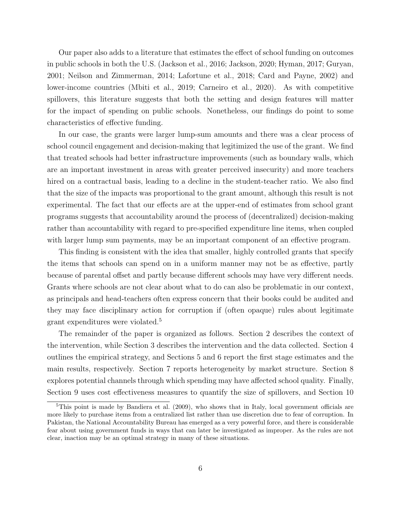Our paper also adds to a literature that estimates the effect of school funding on outcomes in public schools in both the U.S. (Jackson et al., 2016; Jackson, 2020; Hyman, 2017; Guryan, 2001; Neilson and Zimmerman, 2014; Lafortune et al., 2018; Card and Payne, 2002) and lower-income countries (Mbiti et al., 2019; Carneiro et al., 2020). As with competitive spillovers, this literature suggests that both the setting and design features will matter for the impact of spending on public schools. Nonetheless, our findings do point to some characteristics of effective funding.

In our case, the grants were larger lump-sum amounts and there was a clear process of school council engagement and decision-making that legitimized the use of the grant. We find that treated schools had better infrastructure improvements (such as boundary walls, which are an important investment in areas with greater perceived insecurity) and more teachers hired on a contractual basis, leading to a decline in the student-teacher ratio. We also find that the size of the impacts was proportional to the grant amount, although this result is not experimental. The fact that our effects are at the upper-end of estimates from school grant programs suggests that accountability around the process of (decentralized) decision-making rather than accountability with regard to pre-specified expenditure line items, when coupled with larger lump sum payments, may be an important component of an effective program.

This finding is consistent with the idea that smaller, highly controlled grants that specify the items that schools can spend on in a uniform manner may not be as effective, partly because of parental offset and partly because different schools may have very different needs. Grants where schools are not clear about what to do can also be problematic in our context, as principals and head-teachers often express concern that their books could be audited and they may face disciplinary action for corruption if (often opaque) rules about legitimate grant expenditures were violated.<sup>5</sup>

The remainder of the paper is organized as follows. Section 2 describes the context of the intervention, while Section 3 describes the intervention and the data collected. Section 4 outlines the empirical strategy, and Sections 5 and 6 report the first stage estimates and the main results, respectively. Section 7 reports heterogeneity by market structure. Section 8 explores potential channels through which spending may have affected school quality. Finally, Section 9 uses cost effectiveness measures to quantify the size of spillovers, and Section 10

 $5$ This point is made by Bandiera et al. (2009), who shows that in Italy, local government officials are more likely to purchase items from a centralized list rather than use discretion due to fear of corruption. In Pakistan, the National Accountability Bureau has emerged as a very powerful force, and there is considerable fear about using government funds in ways that can later be investigated as improper. As the rules are not clear, inaction may be an optimal strategy in many of these situations.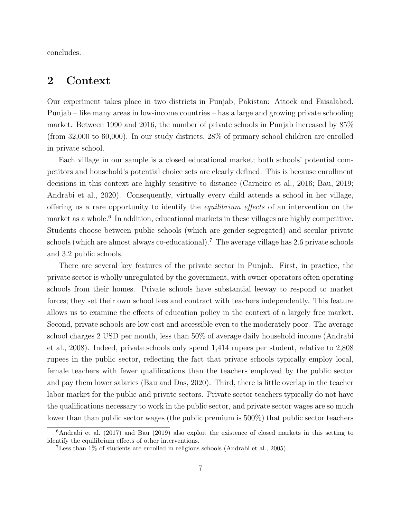concludes.

### 2 Context

Our experiment takes place in two districts in Punjab, Pakistan: Attock and Faisalabad. Punjab – like many areas in low-income countries – has a large and growing private schooling market. Between 1990 and 2016, the number of private schools in Punjab increased by 85% (from 32,000 to 60,000). In our study districts, 28% of primary school children are enrolled in private school.

Each village in our sample is a closed educational market; both schools' potential competitors and household's potential choice sets are clearly defined. This is because enrollment decisions in this context are highly sensitive to distance (Carneiro et al., 2016; Bau, 2019; Andrabi et al., 2020). Consequently, virtually every child attends a school in her village, offering us a rare opportunity to identify the equilibrium effects of an intervention on the market as a whole.<sup>6</sup> In addition, educational markets in these villages are highly competitive. Students choose between public schools (which are gender-segregated) and secular private schools (which are almost always co-educational).<sup>7</sup> The average village has 2.6 private schools and 3.2 public schools.

There are several key features of the private sector in Punjab. First, in practice, the private sector is wholly unregulated by the government, with owner-operators often operating schools from their homes. Private schools have substantial leeway to respond to market forces; they set their own school fees and contract with teachers independently. This feature allows us to examine the effects of education policy in the context of a largely free market. Second, private schools are low cost and accessible even to the moderately poor. The average school charges 2 USD per month, less than 50% of average daily household income (Andrabi et al., 2008). Indeed, private schools only spend 1,414 rupees per student, relative to 2,808 rupees in the public sector, reflecting the fact that private schools typically employ local, female teachers with fewer qualifications than the teachers employed by the public sector and pay them lower salaries (Bau and Das, 2020). Third, there is little overlap in the teacher labor market for the public and private sectors. Private sector teachers typically do not have the qualifications necessary to work in the public sector, and private sector wages are so much lower than than public sector wages (the public premium is 500%) that public sector teachers

 $6$ Andrabi et al. (2017) and Bau (2019) also exploit the existence of closed markets in this setting to identify the equilibrium effects of other interventions.

<sup>7</sup>Less than 1% of students are enrolled in religious schools (Andrabi et al., 2005).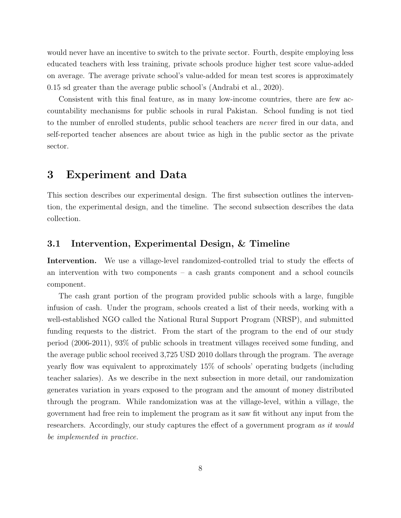would never have an incentive to switch to the private sector. Fourth, despite employing less educated teachers with less training, private schools produce higher test score value-added on average. The average private school's value-added for mean test scores is approximately 0.15 sd greater than the average public school's (Andrabi et al., 2020).

Consistent with this final feature, as in many low-income countries, there are few accountability mechanisms for public schools in rural Pakistan. School funding is not tied to the number of enrolled students, public school teachers are never fired in our data, and self-reported teacher absences are about twice as high in the public sector as the private sector.

### 3 Experiment and Data

This section describes our experimental design. The first subsection outlines the intervention, the experimental design, and the timeline. The second subsection describes the data collection.

### 3.1 Intervention, Experimental Design, & Timeline

Intervention. We use a village-level randomized-controlled trial to study the effects of an intervention with two components – a cash grants component and a school councils component.

The cash grant portion of the program provided public schools with a large, fungible infusion of cash. Under the program, schools created a list of their needs, working with a well-established NGO called the National Rural Support Program (NRSP), and submitted funding requests to the district. From the start of the program to the end of our study period (2006-2011), 93% of public schools in treatment villages received some funding, and the average public school received 3,725 USD 2010 dollars through the program. The average yearly flow was equivalent to approximately 15% of schools' operating budgets (including teacher salaries). As we describe in the next subsection in more detail, our randomization generates variation in years exposed to the program and the amount of money distributed through the program. While randomization was at the village-level, within a village, the government had free rein to implement the program as it saw fit without any input from the researchers. Accordingly, our study captures the effect of a government program as it would be implemented in practice.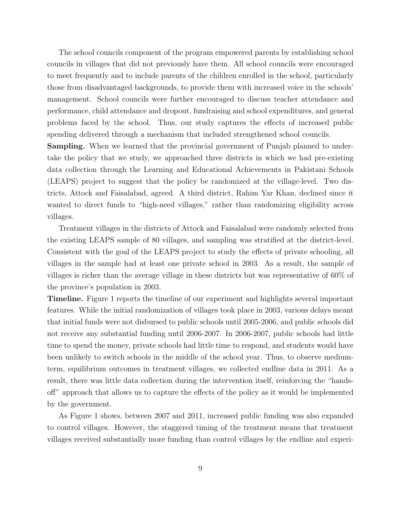The school councils component of the program empowered parents by establishing school councils in villages that did not previously have them. All school councils were encouraged to meet frequently and to include parents of the children enrolled in the school, particularly those from disadvantaged backgrounds, to provide them with increased voice in the schools' management. School councils were further encouraged to discuss teacher attendance and performance, child attendance and dropout, fundraising and school expenditures, and general problems faced by the school. Thus, our study captures the effects of increased public spending delivered through a mechanism that included strengthened school councils.

Sampling. When we learned that the provincial government of Punjab planned to undertake the policy that we study, we approached three districts in which we had pre-existing data collection through the Learning and Educational Achievements in Pakistani Schools (LEAPS) project to suggest that the policy be randomized at the village-level. Two districts, Attock and Faisalabad, agreed. A third district, Rahim Yar Khan, declined since it wanted to direct funds to "high-need villages," rather than randomizing eligibility across villages.

Treatment villages in the districts of Attock and Faisalabad were randomly selected from the existing LEAPS sample of 80 villages, and sampling was stratified at the district-level. Consistent with the goal of the LEAPS project to study the effects of private schooling, all villages in the sample had at least one private school in 2003. As a result, the sample of villages is richer than the average village in these districts but was representative of 60% of the province's population in 2003.

Timeline. Figure 1 reports the timeline of our experiment and highlights several important features. While the initial randomization of villages took place in 2003, various delays meant that initial funds were not disbursed to public schools until 2005-2006, and public schools did not receive any substantial funding until 2006-2007. In 2006-2007, public schools had little time to spend the money, private schools had little time to respond, and students would have been unlikely to switch schools in the middle of the school year. Thus, to observe mediumterm, equilibrium outcomes in treatment villages, we collected endline data in 2011. As a result, there was little data collection during the intervention itself, reinforcing the "handsoff" approach that allows us to capture the effects of the policy as it would be implemented by the government.

As Figure 1 shows, between 2007 and 2011, increased public funding was also expanded to control villages. However, the staggered timing of the treatment means that treatment villages received substantially more funding than control villages by the endline and experi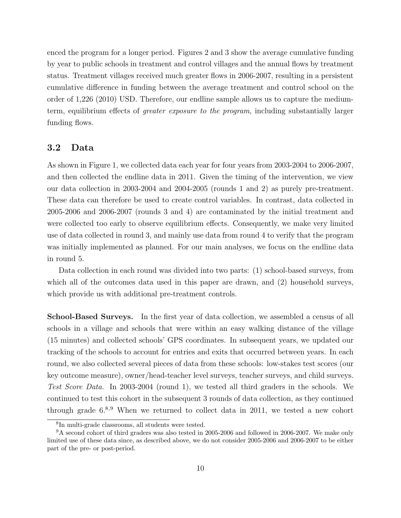enced the program for a longer period. Figures 2 and 3 show the average cumulative funding by year to public schools in treatment and control villages and the annual flows by treatment status. Treatment villages received much greater flows in 2006-2007, resulting in a persistent cumulative difference in funding between the average treatment and control school on the order of 1,226 (2010) USD. Therefore, our endline sample allows us to capture the mediumterm, equilibrium effects of greater exposure to the program, including substantially larger funding flows.

#### 3.2 Data

As shown in Figure 1, we collected data each year for four years from 2003-2004 to 2006-2007, and then collected the endline data in 2011. Given the timing of the intervention, we view our data collection in 2003-2004 and 2004-2005 (rounds 1 and 2) as purely pre-treatment. These data can therefore be used to create control variables. In contrast, data collected in 2005-2006 and 2006-2007 (rounds 3 and 4) are contaminated by the initial treatment and were collected too early to observe equilibrium effects. Consequently, we make very limited use of data collected in round 3, and mainly use data from round 4 to verify that the program was initially implemented as planned. For our main analyses, we focus on the endline data in round 5.

Data collection in each round was divided into two parts: (1) school-based surveys, from which all of the outcomes data used in this paper are drawn, and  $(2)$  household surveys, which provide us with additional pre-treatment controls.

School-Based Surveys. In the first year of data collection, we assembled a census of all schools in a village and schools that were within an easy walking distance of the village (15 minutes) and collected schools' GPS coordinates. In subsequent years, we updated our tracking of the schools to account for entries and exits that occurred between years. In each round, we also collected several pieces of data from these schools: low-stakes test scores (our key outcome measure), owner/head-teacher level surveys, teacher surveys, and child surveys. Test Score Data. In 2003-2004 (round 1), we tested all third graders in the schools. We continued to test this cohort in the subsequent 3 rounds of data collection, as they continued through grade  $6^{8,9}$  When we returned to collect data in 2011, we tested a new cohort

<sup>8</sup> In multi-grade classrooms, all students were tested.

<sup>9</sup>A second cohort of third graders was also tested in 2005-2006 and followed in 2006-2007. We make only limited use of these data since, as described above, we do not consider 2005-2006 and 2006-2007 to be either part of the pre- or post-period.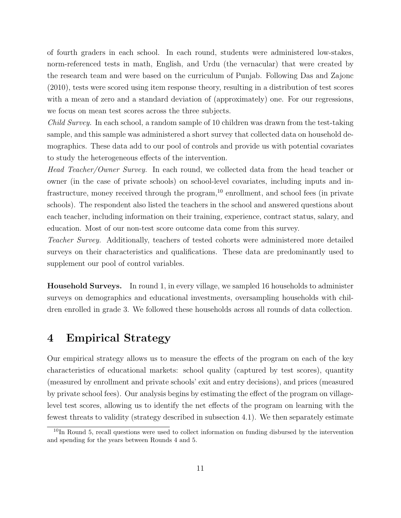of fourth graders in each school. In each round, students were administered low-stakes, norm-referenced tests in math, English, and Urdu (the vernacular) that were created by the research team and were based on the curriculum of Punjab. Following Das and Zajonc (2010), tests were scored using item response theory, resulting in a distribution of test scores with a mean of zero and a standard deviation of (approximately) one. For our regressions, we focus on mean test scores across the three subjects.

Child Survey. In each school, a random sample of 10 children was drawn from the test-taking sample, and this sample was administered a short survey that collected data on household demographics. These data add to our pool of controls and provide us with potential covariates to study the heterogeneous effects of the intervention.

Head Teacher/Owner Survey. In each round, we collected data from the head teacher or owner (in the case of private schools) on school-level covariates, including inputs and infrastructure, money received through the program,  $10$  enrollment, and school fees (in private schools). The respondent also listed the teachers in the school and answered questions about each teacher, including information on their training, experience, contract status, salary, and education. Most of our non-test score outcome data come from this survey.

Teacher Survey. Additionally, teachers of tested cohorts were administered more detailed surveys on their characteristics and qualifications. These data are predominantly used to supplement our pool of control variables.

Household Surveys. In round 1, in every village, we sampled 16 households to administer surveys on demographics and educational investments, oversampling households with children enrolled in grade 3. We followed these households across all rounds of data collection.

### 4 Empirical Strategy

Our empirical strategy allows us to measure the effects of the program on each of the key characteristics of educational markets: school quality (captured by test scores), quantity (measured by enrollment and private schools' exit and entry decisions), and prices (measured by private school fees). Our analysis begins by estimating the effect of the program on villagelevel test scores, allowing us to identify the net effects of the program on learning with the fewest threats to validity (strategy described in subsection 4.1). We then separately estimate

<sup>&</sup>lt;sup>10</sup>In Round 5, recall questions were used to collect information on funding disbursed by the intervention and spending for the years between Rounds 4 and 5.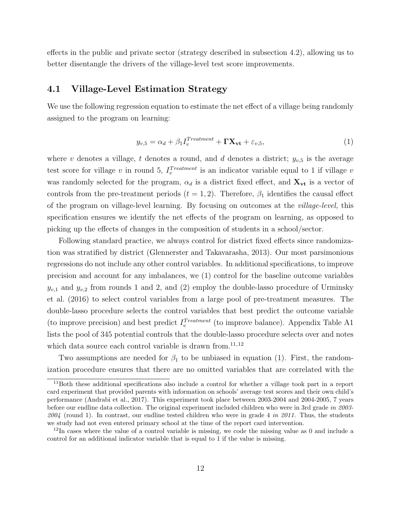effects in the public and private sector (strategy described in subsection 4.2), allowing us to better disentangle the drivers of the village-level test score improvements.

### 4.1 Village-Level Estimation Strategy

We use the following regression equation to estimate the net effect of a village being randomly assigned to the program on learning:

$$
y_{v,5} = \alpha_d + \beta_1 I_v^{Treatment} + \mathbf{\Gamma} \mathbf{X}_{vt} + \varepsilon_{v,5},\tag{1}
$$

where v denotes a village, t denotes a round, and d denotes a district;  $y_{v,5}$  is the average test score for village v in round 5,  $I_v^{Treatment}$  is an indicator variable equal to 1 if village v was randomly selected for the program,  $\alpha_d$  is a district fixed effect, and  $\mathbf{X}_{\mathbf{vt}}$  is a vector of controls from the pre-treatment periods  $(t = 1, 2)$ . Therefore,  $\beta_1$  identifies the causal effect of the program on village-level learning. By focusing on outcomes at the village-level, this specification ensures we identify the net effects of the program on learning, as opposed to picking up the effects of changes in the composition of students in a school/sector.

Following standard practice, we always control for district fixed effects since randomization was stratified by district (Glennerster and Takavarasha, 2013). Our most parsimonious regressions do not include any other control variables. In additional specifications, to improve precision and account for any imbalances, we (1) control for the baseline outcome variables  $y_{v,1}$  and  $y_{v,2}$  from rounds 1 and 2, and (2) employ the double-lasso procedure of Urminsky et al. (2016) to select control variables from a large pool of pre-treatment measures. The double-lasso procedure selects the control variables that best predict the outcome variable (to improve precision) and best predict  $I_v^{Treatment}$  (to improve balance). Appendix Table A1 lists the pool of 345 potential controls that the double-lasso procedure selects over and notes which data source each control variable is drawn from.<sup>11,12</sup>

Two assumptions are needed for  $\beta_1$  to be unbiased in equation (1). First, the randomization procedure ensures that there are no omitted variables that are correlated with the

<sup>11</sup>Both these additional specifications also include a control for whether a village took part in a report card experiment that provided parents with information on schools' average test scores and their own child's performance (Andrabi et al., 2017). This experiment took place between 2003-2004 and 2004-2005, 7 years before our endline data collection. The original experiment included children who were in 3rd grade in 2003- 2004 (round 1). In contrast, our endline tested children who were in grade 4 in 2011. Thus, the students we study had not even entered primary school at the time of the report card intervention.

 $12$ In cases where the value of a control variable is missing, we code the missing value as 0 and include a control for an additional indicator variable that is equal to 1 if the value is missing.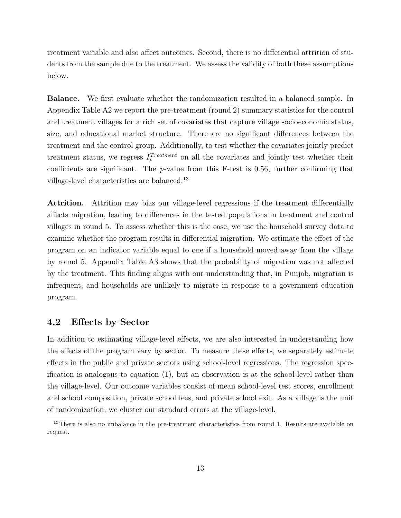treatment variable and also affect outcomes. Second, there is no differential attrition of students from the sample due to the treatment. We assess the validity of both these assumptions below.

Balance. We first evaluate whether the randomization resulted in a balanced sample. In Appendix Table A2 we report the pre-treatment (round 2) summary statistics for the control and treatment villages for a rich set of covariates that capture village socioeconomic status, size, and educational market structure. There are no significant differences between the treatment and the control group. Additionally, to test whether the covariates jointly predict treatment status, we regress  $I_v^{Treatment}$  on all the covariates and jointly test whether their coefficients are significant. The p-value from this F-test is 0.56, further confirming that village-level characteristics are balanced.<sup>13</sup>

Attrition. Attrition may bias our village-level regressions if the treatment differentially affects migration, leading to differences in the tested populations in treatment and control villages in round 5. To assess whether this is the case, we use the household survey data to examine whether the program results in differential migration. We estimate the effect of the program on an indicator variable equal to one if a household moved away from the village by round 5. Appendix Table A3 shows that the probability of migration was not affected by the treatment. This finding aligns with our understanding that, in Punjab, migration is infrequent, and households are unlikely to migrate in response to a government education program.

#### 4.2 Effects by Sector

In addition to estimating village-level effects, we are also interested in understanding how the effects of the program vary by sector. To measure these effects, we separately estimate effects in the public and private sectors using school-level regressions. The regression specification is analogous to equation (1), but an observation is at the school-level rather than the village-level. Our outcome variables consist of mean school-level test scores, enrollment and school composition, private school fees, and private school exit. As a village is the unit of randomization, we cluster our standard errors at the village-level.

<sup>&</sup>lt;sup>13</sup>There is also no imbalance in the pre-treatment characteristics from round 1. Results are available on request.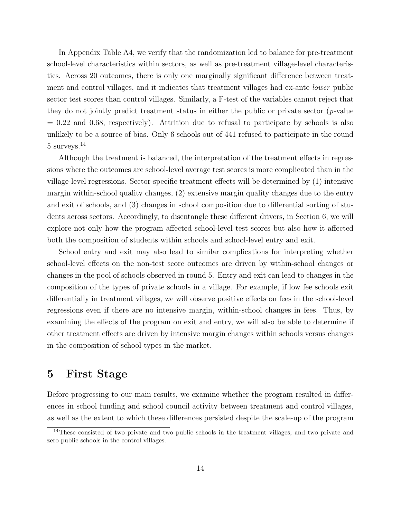In Appendix Table A4, we verify that the randomization led to balance for pre-treatment school-level characteristics within sectors, as well as pre-treatment village-level characteristics. Across 20 outcomes, there is only one marginally significant difference between treatment and control villages, and it indicates that treatment villages had ex-ante lower public sector test scores than control villages. Similarly, a F-test of the variables cannot reject that they do not jointly predict treatment status in either the public or private sector  $(p$ -value  $= 0.22$  and 0.68, respectively). Attrition due to refusal to participate by schools is also unlikely to be a source of bias. Only 6 schools out of 441 refused to participate in the round 5 surveys.<sup>14</sup>

Although the treatment is balanced, the interpretation of the treatment effects in regressions where the outcomes are school-level average test scores is more complicated than in the village-level regressions. Sector-specific treatment effects will be determined by (1) intensive margin within-school quality changes, (2) extensive margin quality changes due to the entry and exit of schools, and (3) changes in school composition due to differential sorting of students across sectors. Accordingly, to disentangle these different drivers, in Section 6, we will explore not only how the program affected school-level test scores but also how it affected both the composition of students within schools and school-level entry and exit.

School entry and exit may also lead to similar complications for interpreting whether school-level effects on the non-test score outcomes are driven by within-school changes or changes in the pool of schools observed in round 5. Entry and exit can lead to changes in the composition of the types of private schools in a village. For example, if low fee schools exit differentially in treatment villages, we will observe positive effects on fees in the school-level regressions even if there are no intensive margin, within-school changes in fees. Thus, by examining the effects of the program on exit and entry, we will also be able to determine if other treatment effects are driven by intensive margin changes within schools versus changes in the composition of school types in the market.

### 5 First Stage

Before progressing to our main results, we examine whether the program resulted in differences in school funding and school council activity between treatment and control villages, as well as the extent to which these differences persisted despite the scale-up of the program

<sup>&</sup>lt;sup>14</sup>These consisted of two private and two public schools in the treatment villages, and two private and zero public schools in the control villages.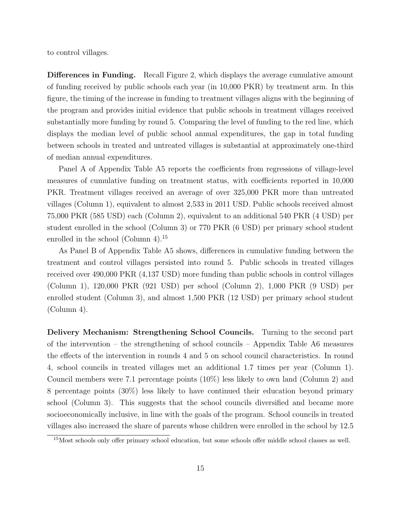to control villages.

Differences in Funding. Recall Figure 2, which displays the average cumulative amount of funding received by public schools each year (in 10,000 PKR) by treatment arm. In this figure, the timing of the increase in funding to treatment villages aligns with the beginning of the program and provides initial evidence that public schools in treatment villages received substantially more funding by round 5. Comparing the level of funding to the red line, which displays the median level of public school annual expenditures, the gap in total funding between schools in treated and untreated villages is substantial at approximately one-third of median annual expenditures.

Panel A of Appendix Table A5 reports the coefficients from regressions of village-level measures of cumulative funding on treatment status, with coefficients reported in 10,000 PKR. Treatment villages received an average of over 325,000 PKR more than untreated villages (Column 1), equivalent to almost 2,533 in 2011 USD. Public schools received almost 75,000 PKR (585 USD) each (Column 2), equivalent to an additional 540 PKR (4 USD) per student enrolled in the school (Column 3) or 770 PKR (6 USD) per primary school student enrolled in the school (Column 4).<sup>15</sup>

As Panel B of Appendix Table A5 shows, differences in cumulative funding between the treatment and control villages persisted into round 5. Public schools in treated villages received over 490,000 PKR (4,137 USD) more funding than public schools in control villages (Column 1), 120,000 PKR (921 USD) per school (Column 2), 1,000 PKR (9 USD) per enrolled student (Column 3), and almost 1,500 PKR (12 USD) per primary school student (Column 4).

Delivery Mechanism: Strengthening School Councils. Turning to the second part of the intervention – the strengthening of school councils – Appendix Table A6 measures the effects of the intervention in rounds 4 and 5 on school council characteristics. In round 4, school councils in treated villages met an additional 1.7 times per year (Column 1). Council members were 7.1 percentage points (10%) less likely to own land (Column 2) and 8 percentage points (30%) less likely to have continued their education beyond primary school (Column 3). This suggests that the school councils diversified and became more socioeconomically inclusive, in line with the goals of the program. School councils in treated villages also increased the share of parents whose children were enrolled in the school by 12.5

<sup>15</sup>Most schools only offer primary school education, but some schools offer middle school classes as well.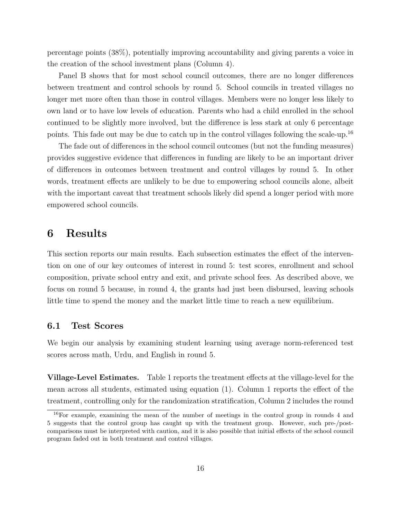percentage points (38%), potentially improving accountability and giving parents a voice in the creation of the school investment plans (Column 4).

Panel B shows that for most school council outcomes, there are no longer differences between treatment and control schools by round 5. School councils in treated villages no longer met more often than those in control villages. Members were no longer less likely to own land or to have low levels of education. Parents who had a child enrolled in the school continued to be slightly more involved, but the difference is less stark at only 6 percentage points. This fade out may be due to catch up in the control villages following the scale-up.<sup>16</sup>

The fade out of differences in the school council outcomes (but not the funding measures) provides suggestive evidence that differences in funding are likely to be an important driver of differences in outcomes between treatment and control villages by round 5. In other words, treatment effects are unlikely to be due to empowering school councils alone, albeit with the important caveat that treatment schools likely did spend a longer period with more empowered school councils.

### 6 Results

This section reports our main results. Each subsection estimates the effect of the intervention on one of our key outcomes of interest in round 5: test scores, enrollment and school composition, private school entry and exit, and private school fees. As described above, we focus on round 5 because, in round 4, the grants had just been disbursed, leaving schools little time to spend the money and the market little time to reach a new equilibrium.

#### 6.1 Test Scores

We begin our analysis by examining student learning using average norm-referenced test scores across math, Urdu, and English in round 5.

Village-Level Estimates. Table 1 reports the treatment effects at the village-level for the mean across all students, estimated using equation (1). Column 1 reports the effect of the treatment, controlling only for the randomization stratification, Column 2 includes the round

<sup>16</sup>For example, examining the mean of the number of meetings in the control group in rounds 4 and 5 suggests that the control group has caught up with the treatment group. However, such pre-/postcomparisons must be interpreted with caution, and it is also possible that initial effects of the school council program faded out in both treatment and control villages.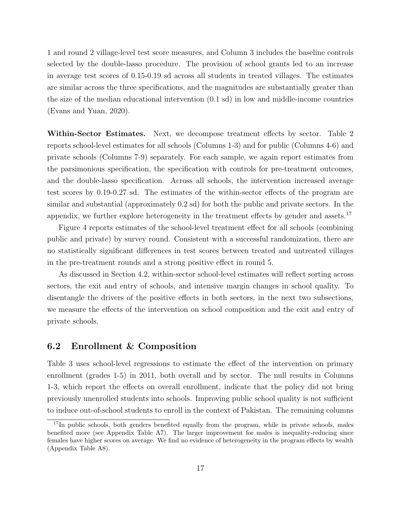1 and round 2 village-level test score measures, and Column 3 includes the baseline controls selected by the double-lasso procedure. The provision of school grants led to an increase in average test scores of 0.15-0.19 sd across all students in treated villages. The estimates are similar across the three specifications, and the magnitudes are substantially greater than the size of the median educational intervention (0.1 sd) in low and middle-income countries (Evans and Yuan, 2020).

Within-Sector Estimates. Next, we decompose treatment effects by sector. Table 2 reports school-level estimates for all schools (Columns 1-3) and for public (Columns 4-6) and private schools (Columns 7-9) separately. For each sample, we again report estimates from the parsimonious specification, the specification with controls for pre-treatment outcomes, and the double-lasso specification. Across all schools, the intervention increased average test scores by 0.19-0.27 sd. The estimates of the within-sector effects of the program are similar and substantial (approximately 0.2 sd) for both the public and private sectors. In the appendix, we further explore heterogeneity in the treatment effects by gender and assets.<sup>17</sup>

Figure 4 reports estimates of the school-level treatment effect for all schools (combining public and private) by survey round. Consistent with a successful randomization, there are no statistically significant differences in test scores between treated and untreated villages in the pre-treatment rounds and a strong positive effect in round 5.

As discussed in Section 4.2, within-sector school-level estimates will reflect sorting across sectors, the exit and entry of schools, and intensive margin changes in school quality. To disentangle the drivers of the positive effects in both sectors, in the next two subsections, we measure the effects of the intervention on school composition and the exit and entry of private schools.

#### 6.2 Enrollment & Composition

Table 3 uses school-level regressions to estimate the effect of the intervention on primary enrollment (grades 1-5) in 2011, both overall and by sector. The null results in Columns 1-3, which report the effects on overall enrollment, indicate that the policy did not bring previously unenrolled students into schools. Improving public school quality is not sufficient to induce out-of-school students to enroll in the context of Pakistan. The remaining columns

<sup>&</sup>lt;sup>17</sup>In public schools, both genders benefited equally from the program, while in private schools, males benefited more (see Appendix Table A7). The larger improvement for males is inequality-reducing since females have higher scores on average. We find no evidence of heterogeneity in the program effects by wealth (Appendix Table A8).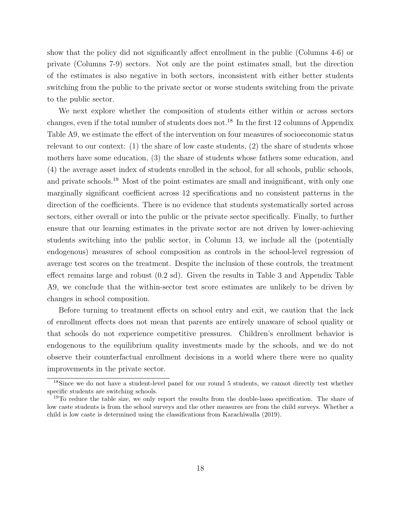show that the policy did not significantly affect enrollment in the public (Columns 4-6) or private (Columns 7-9) sectors. Not only are the point estimates small, but the direction of the estimates is also negative in both sectors, inconsistent with either better students switching from the public to the private sector or worse students switching from the private to the public sector.

We next explore whether the composition of students either within or across sectors changes, even if the total number of students does not.<sup>18</sup> In the first 12 columns of Appendix Table A9, we estimate the effect of the intervention on four measures of socioeconomic status relevant to our context: (1) the share of low caste students, (2) the share of students whose mothers have some education, (3) the share of students whose fathers some education, and (4) the average asset index of students enrolled in the school, for all schools, public schools, and private schools.<sup>19</sup> Most of the point estimates are small and insignificant, with only one marginally significant coefficient across 12 specifications and no consistent patterns in the direction of the coefficients. There is no evidence that students systematically sorted across sectors, either overall or into the public or the private sector specifically. Finally, to further ensure that our learning estimates in the private sector are not driven by lower-achieving students switching into the public sector, in Column 13, we include all the (potentially endogenous) measures of school composition as controls in the school-level regression of average test scores on the treatment. Despite the inclusion of these controls, the treatment effect remains large and robust (0.2 sd). Given the results in Table 3 and Appendix Table A9, we conclude that the within-sector test score estimates are unlikely to be driven by changes in school composition.

Before turning to treatment effects on school entry and exit, we caution that the lack of enrollment effects does not mean that parents are entirely unaware of school quality or that schools do not experience competitive pressures. Children's enrollment behavior is endogenous to the equilibrium quality investments made by the schools, and we do not observe their counterfactual enrollment decisions in a world where there were no quality improvements in the private sector.

<sup>&</sup>lt;sup>18</sup>Since we do not have a student-level panel for our round 5 students, we cannot directly test whether specific students are switching schools.

<sup>&</sup>lt;sup>19</sup>To reduce the table size, we only report the results from the double-lasso specification. The share of low caste students is from the school surveys and the other measures are from the child surveys. Whether a child is low caste is determined using the classifications from Karachiwalla (2019).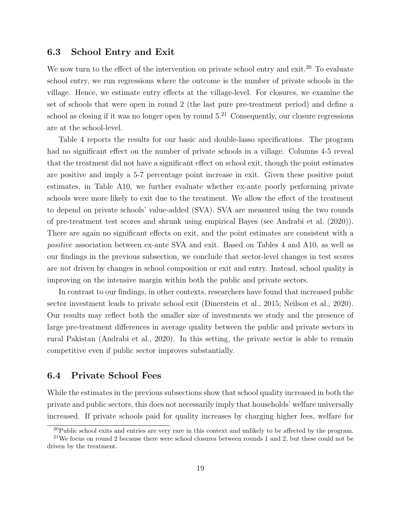#### 6.3 School Entry and Exit

We now turn to the effect of the intervention on private school entry and exit.<sup>20</sup> To evaluate school entry, we run regressions where the outcome is the number of private schools in the village. Hence, we estimate entry effects at the village-level. For closures, we examine the set of schools that were open in round 2 (the last pure pre-treatment period) and define a school as closing if it was no longer open by round  $5.^{21}$  Consequently, our closure regressions are at the school-level.

Table 4 reports the results for our basic and double-lasso specifications. The program had no significant effect on the number of private schools in a village. Columns 4-5 reveal that the treatment did not have a significant effect on school exit, though the point estimates are positive and imply a 5-7 percentage point increase in exit. Given these positive point estimates, in Table A10, we further evaluate whether ex-ante poorly performing private schools were more likely to exit due to the treatment. We allow the effect of the treatment to depend on private schools' value-added (SVA). SVA are measured using the two rounds of pre-treatment test scores and shrunk using empirical Bayes (see Andrabi et al. (2020)). There are again no significant effects on exit, and the point estimates are consistent with a positive association between ex-ante SVA and exit. Based on Tables 4 and A10, as well as our findings in the previous subsection, we conclude that sector-level changes in test scores are not driven by changes in school composition or exit and entry. Instead, school quality is improving on the intensive margin within both the public and private sectors.

In contrast to our findings, in other contexts, researchers have found that increased public sector investment leads to private school exit (Dinerstein et al., 2015; Neilson et al., 2020). Our results may reflect both the smaller size of investments we study and the presence of large pre-treatment differences in average quality between the public and private sectors in rural Pakistan (Andrabi et al., 2020). In this setting, the private sector is able to remain competitive even if public sector improves substantially.

### 6.4 Private School Fees

While the estimates in the previous subsections show that school quality increased in both the private and public sectors, this does not necessarily imply that households' welfare universally increased. If private schools paid for quality increases by charging higher fees, welfare for

 $^{20}$ Public school exits and entries are very rare in this context and unlikely to be affected by the program.

<sup>&</sup>lt;sup>21</sup>We focus on round 2 because there were school closures between rounds 1 and 2, but these could not be driven by the treatment.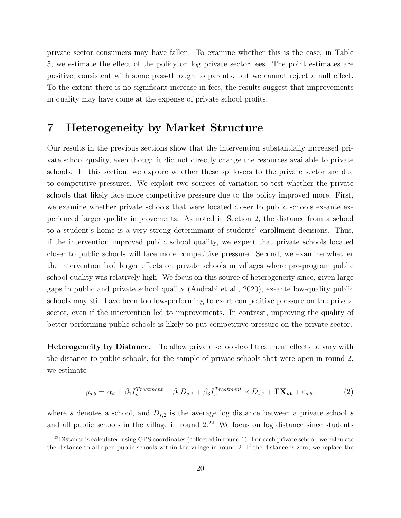private sector consumers may have fallen. To examine whether this is the case, in Table 5, we estimate the effect of the policy on log private sector fees. The point estimates are positive, consistent with some pass-through to parents, but we cannot reject a null effect. To the extent there is no significant increase in fees, the results suggest that improvements in quality may have come at the expense of private school profits.

## 7 Heterogeneity by Market Structure

Our results in the previous sections show that the intervention substantially increased private school quality, even though it did not directly change the resources available to private schools. In this section, we explore whether these spillovers to the private sector are due to competitive pressures. We exploit two sources of variation to test whether the private schools that likely face more competitive pressure due to the policy improved more. First, we examine whether private schools that were located closer to public schools ex-ante experienced larger quality improvements. As noted in Section 2, the distance from a school to a student's home is a very strong determinant of students' enrollment decisions. Thus, if the intervention improved public school quality, we expect that private schools located closer to public schools will face more competitive pressure. Second, we examine whether the intervention had larger effects on private schools in villages where pre-program public school quality was relatively high. We focus on this source of heterogeneity since, given large gaps in public and private school quality (Andrabi et al., 2020), ex-ante low-quality public schools may still have been too low-performing to exert competitive pressure on the private sector, even if the intervention led to improvements. In contrast, improving the quality of better-performing public schools is likely to put competitive pressure on the private sector.

Heterogeneity by Distance. To allow private school-level treatment effects to vary with the distance to public schools, for the sample of private schools that were open in round 2, we estimate

$$
y_{s,5} = \alpha_d + \beta_1 I_v^{Treatment} + \beta_2 D_{s,2} + \beta_3 I_v^{Treatment} \times D_{s,2} + \mathbf{\Gamma} \mathbf{X}_{\mathbf{vt}} + \varepsilon_{s,5},\tag{2}
$$

where s denotes a school, and  $D_{s,2}$  is the average log distance between a private school s and all public schools in the village in round  $2^{2}$ . We focus on log distance since students

 $22$ Distance is calculated using GPS coordinates (collected in round 1). For each private school, we calculate the distance to all open public schools within the village in round 2. If the distance is zero, we replace the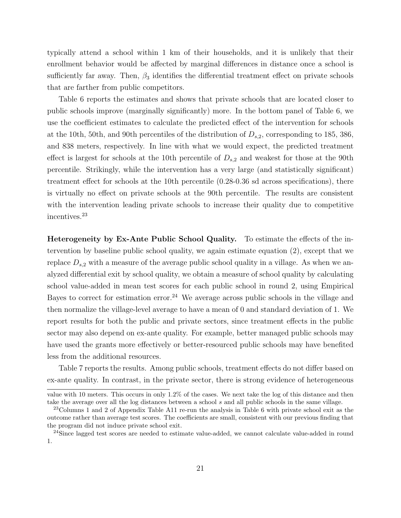typically attend a school within 1 km of their households, and it is unlikely that their enrollment behavior would be affected by marginal differences in distance once a school is sufficiently far away. Then,  $\beta_3$  identifies the differential treatment effect on private schools that are farther from public competitors.

Table 6 reports the estimates and shows that private schools that are located closer to public schools improve (marginally significantly) more. In the bottom panel of Table 6, we use the coefficient estimates to calculate the predicted effect of the intervention for schools at the 10th, 50th, and 90th percentiles of the distribution of  $D_{s,2}$ , corresponding to 185, 386, and 838 meters, respectively. In line with what we would expect, the predicted treatment effect is largest for schools at the 10th percentile of  $D_{s,2}$  and weakest for those at the 90th percentile. Strikingly, while the intervention has a very large (and statistically significant) treatment effect for schools at the 10th percentile (0.28-0.36 sd across specifications), there is virtually no effect on private schools at the 90th percentile. The results are consistent with the intervention leading private schools to increase their quality due to competitive incentives.<sup>23</sup>

Heterogeneity by Ex-Ante Public School Quality. To estimate the effects of the intervention by baseline public school quality, we again estimate equation (2), except that we replace  $D_{s,2}$  with a measure of the average public school quality in a village. As when we analyzed differential exit by school quality, we obtain a measure of school quality by calculating school value-added in mean test scores for each public school in round 2, using Empirical Bayes to correct for estimation error.<sup>24</sup> We average across public schools in the village and then normalize the village-level average to have a mean of 0 and standard deviation of 1. We report results for both the public and private sectors, since treatment effects in the public sector may also depend on ex-ante quality. For example, better managed public schools may have used the grants more effectively or better-resourced public schools may have benefited less from the additional resources.

Table 7 reports the results. Among public schools, treatment effects do not differ based on ex-ante quality. In contrast, in the private sector, there is strong evidence of heterogeneous

value with 10 meters. This occurs in only 1.2% of the cases. We next take the log of this distance and then take the average over all the log distances between a school s and all public schools in the same village.

<sup>23</sup>Columns 1 and 2 of Appendix Table A11 re-run the analysis in Table 6 with private school exit as the outcome rather than average test scores. The coefficients are small, consistent with our previous finding that the program did not induce private school exit.

<sup>&</sup>lt;sup>24</sup>Since lagged test scores are needed to estimate value-added, we cannot calculate value-added in round 1.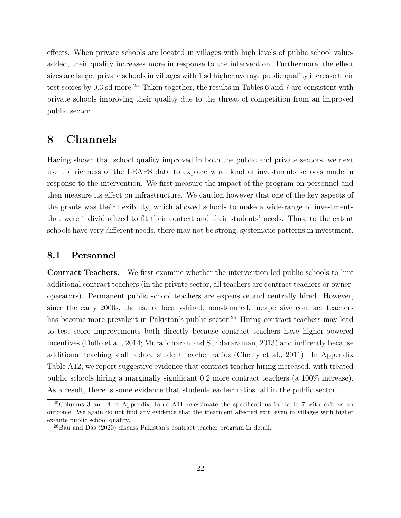effects. When private schools are located in villages with high levels of public school valueadded, their quality increases more in response to the intervention. Furthermore, the effect sizes are large: private schools in villages with 1 sd higher average public quality increase their test scores by  $0.3$  sd more.<sup>25</sup> Taken together, the results in Tables 6 and 7 are consistent with private schools improving their quality due to the threat of competition from an improved public sector.

### 8 Channels

Having shown that school quality improved in both the public and private sectors, we next use the richness of the LEAPS data to explore what kind of investments schools made in response to the intervention. We first measure the impact of the program on personnel and then measure its effect on infrastructure. We caution however that one of the key aspects of the grants was their flexibility, which allowed schools to make a wide-range of investments that were individualized to fit their context and their students' needs. Thus, to the extent schools have very different needs, there may not be strong, systematic patterns in investment.

#### 8.1 Personnel

Contract Teachers. We first examine whether the intervention led public schools to hire additional contract teachers (in the private sector, all teachers are contract teachers or owneroperators). Permanent public school teachers are expensive and centrally hired. However, since the early 2000s, the use of locally-hired, non-tenured, inexpensive contract teachers has become more prevalent in Pakistan's public sector.<sup>26</sup> Hiring contract teachers may lead to test score improvements both directly because contract teachers have higher-powered incentives (Duflo et al., 2014; Muralidharan and Sundararaman, 2013) and indirectly because additional teaching staff reduce student teacher ratios (Chetty et al., 2011). In Appendix Table A12, we report suggestive evidence that contract teacher hiring increased, with treated public schools hiring a marginally significant 0.2 more contract teachers (a 100% increase). As a result, there is some evidence that student-teacher ratios fall in the public sector.

<sup>25</sup>Columns 3 and 4 of Appendix Table A11 re-estimate the specifications in Table 7 with exit as an outcome. We again do not find any evidence that the treatment affected exit, even in villages with higher ex-ante public school quality.

 $^{26}$ Bau and Das (2020) discuss Pakistan's contract teacher program in detail.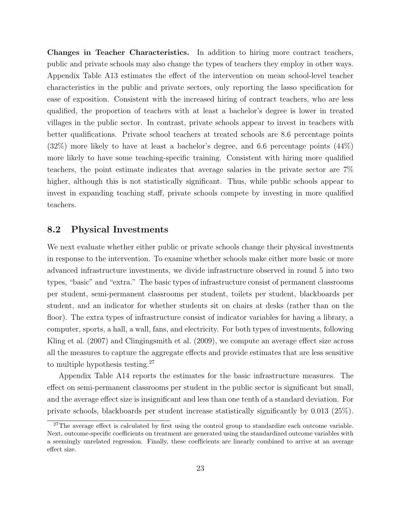Changes in Teacher Characteristics. In addition to hiring more contract teachers, public and private schools may also change the types of teachers they employ in other ways. Appendix Table A13 estimates the effect of the intervention on mean school-level teacher characteristics in the public and private sectors, only reporting the lasso specification for ease of exposition. Consistent with the increased hiring of contract teachers, who are less qualified, the proportion of teachers with at least a bachelor's degree is lower in treated villages in the public sector. In contrast, private schools appear to invest in teachers with better qualifications. Private school teachers at treated schools are 8.6 percentage points (32%) more likely to have at least a bachelor's degree, and 6.6 percentage points (44%) more likely to have some teaching-specific training. Consistent with hiring more qualified teachers, the point estimate indicates that average salaries in the private sector are 7% higher, although this is not statistically significant. Thus, while public schools appear to invest in expanding teaching staff, private schools compete by investing in more qualified teachers.

#### 8.2 Physical Investments

We next evaluate whether either public or private schools change their physical investments in response to the intervention. To examine whether schools make either more basic or more advanced infrastructure investments, we divide infrastructure observed in round 5 into two types, "basic" and "extra." The basic types of infrastructure consist of permanent classrooms per student, semi-permanent classrooms per student, toilets per student, blackboards per student, and an indicator for whether students sit on chairs at desks (rather than on the floor). The extra types of infrastructure consist of indicator variables for having a library, a computer, sports, a hall, a wall, fans, and electricity. For both types of investments, following Kling et al. (2007) and Clingingsmith et al. (2009), we compute an average effect size across all the measures to capture the aggregate effects and provide estimates that are less sensitive to multiple hypothesis testing.<sup>27</sup>

Appendix Table A14 reports the estimates for the basic infrastructure measures. The effect on semi-permanent classrooms per student in the public sector is significant but small, and the average effect size is insignificant and less than one tenth of a standard deviation. For private schools, blackboards per student increase statistically significantly by 0.013 (25%).

<sup>&</sup>lt;sup>27</sup>The average effect is calculated by first using the control group to standardize each outcome variable. Next, outcome-specific coefficients on treatment are generated using the standardized outcome variables with a seemingly unrelated regression. Finally, these coefficients are linearly combined to arrive at an average effect size.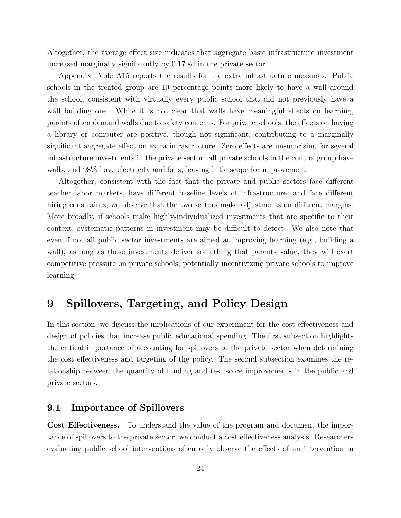Altogether, the average effect size indicates that aggregate basic infrastructure investment increased marginally significantly by 0.17 sd in the private sector.

Appendix Table A15 reports the results for the extra infrastructure measures. Public schools in the treated group are 10 percentage points more likely to have a wall around the school, consistent with virtually every public school that did not previously have a wall building one. While it is not clear that walls have meaningful effects on learning, parents often demand walls due to safety concerns. For private schools, the effects on having a library or computer are positive, though not significant, contributing to a marginally significant aggregate effect on extra infrastructure. Zero effects are unsurprising for several infrastructure investments in the private sector: all private schools in the control group have walls, and  $98\%$  have electricity and fans, leaving little scope for improvement.

Altogether, consistent with the fact that the private and public sectors face different teacher labor markets, have different baseline levels of infrastructure, and face different hiring constraints, we observe that the two sectors make adjustments on different margins. More broadly, if schools make highly-individualized investments that are specific to their context, systematic patterns in investment may be difficult to detect. We also note that even if not all public sector investments are aimed at improving learning (e.g., building a wall), as long as those investments deliver something that parents value, they will exert competitive pressure on private schools, potentially incentivizing private schools to improve learning.

## 9 Spillovers, Targeting, and Policy Design

In this section, we discuss the implications of our experiment for the cost effectiveness and design of policies that increase public educational spending. The first subsection highlights the critical importance of accounting for spillovers to the private sector when determining the cost effectiveness and targeting of the policy. The second subsection examines the relationship between the quantity of funding and test score improvements in the public and private sectors.

### 9.1 Importance of Spillovers

Cost Effectiveness. To understand the value of the program and document the importance of spillovers to the private sector, we conduct a cost effectiveness analysis. Researchers evaluating public school interventions often only observe the effects of an intervention in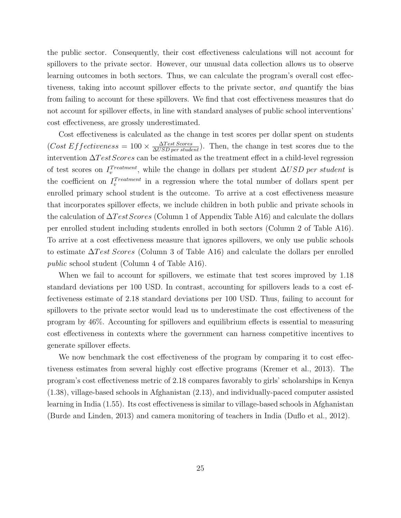the public sector. Consequently, their cost effectiveness calculations will not account for spillovers to the private sector. However, our unusual data collection allows us to observe learning outcomes in both sectors. Thus, we can calculate the program's overall cost effectiveness, taking into account spillover effects to the private sector, and quantify the bias from failing to account for these spillovers. We find that cost effectiveness measures that do not account for spillover effects, in line with standard analyses of public school interventions' cost effectiveness, are grossly underestimated.

Cost effectiveness is calculated as the change in test scores per dollar spent on students  $(Cost Effectiveness = 100 \times \frac{\Delta Test scores}{\Delta USD per student}).$  Then, the change in test scores due to the intervention  $\Delta Test scores$  can be estimated as the treatment effect in a child-level regression of test scores on  $I_v^{Treatment}$ , while the change in dollars per student  $\Delta USD$  per student is the coefficient on  $I_v^{Treatment}$  in a regression where the total number of dollars spent per enrolled primary school student is the outcome. To arrive at a cost effectiveness measure that incorporates spillover effects, we include children in both public and private schools in the calculation of  $\Delta Test \, scores$  (Column 1 of Appendix Table A16) and calculate the dollars per enrolled student including students enrolled in both sectors (Column 2 of Table A16). To arrive at a cost effectiveness measure that ignores spillovers, we only use public schools to estimate  $\Delta Test \, scores$  (Column 3 of Table A16) and calculate the dollars per enrolled public school student (Column 4 of Table A16).

When we fail to account for spillovers, we estimate that test scores improved by 1.18 standard deviations per 100 USD. In contrast, accounting for spillovers leads to a cost effectiveness estimate of 2.18 standard deviations per 100 USD. Thus, failing to account for spillovers to the private sector would lead us to underestimate the cost effectiveness of the program by 46%. Accounting for spillovers and equilibrium effects is essential to measuring cost effectiveness in contexts where the government can harness competitive incentives to generate spillover effects.

We now benchmark the cost effectiveness of the program by comparing it to cost effectiveness estimates from several highly cost effective programs (Kremer et al., 2013). The program's cost effectiveness metric of 2.18 compares favorably to girls' scholarships in Kenya (1.38), village-based schools in Afghanistan (2.13), and individually-paced computer assisted learning in India (1.55). Its cost effectiveness is similar to village-based schools in Afghanistan (Burde and Linden, 2013) and camera monitoring of teachers in India (Duflo et al., 2012).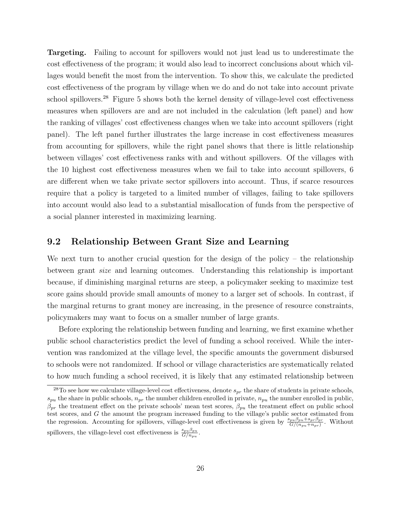Targeting. Failing to account for spillovers would not just lead us to underestimate the cost effectiveness of the program; it would also lead to incorrect conclusions about which villages would benefit the most from the intervention. To show this, we calculate the predicted cost effectiveness of the program by village when we do and do not take into account private school spillovers.<sup>28</sup> Figure 5 shows both the kernel density of village-level cost effectiveness measures when spillovers are and are not included in the calculation (left panel) and how the ranking of villages' cost effectiveness changes when we take into account spillovers (right panel). The left panel further illustrates the large increase in cost effectiveness measures from accounting for spillovers, while the right panel shows that there is little relationship between villages' cost effectiveness ranks with and without spillovers. Of the villages with the 10 highest cost effectiveness measures when we fail to take into account spillovers, 6 are different when we take private sector spillovers into account. Thus, if scarce resources require that a policy is targeted to a limited number of villages, failing to take spillovers into account would also lead to a substantial misallocation of funds from the perspective of a social planner interested in maximizing learning.

### 9.2 Relationship Between Grant Size and Learning

We next turn to another crucial question for the design of the policy – the relationship between grant size and learning outcomes. Understanding this relationship is important because, if diminishing marginal returns are steep, a policymaker seeking to maximize test score gains should provide small amounts of money to a larger set of schools. In contrast, if the marginal returns to grant money are increasing, in the presence of resource constraints, policymakers may want to focus on a smaller number of large grants.

Before exploring the relationship between funding and learning, we first examine whether public school characteristics predict the level of funding a school received. While the intervention was randomized at the village level, the specific amounts the government disbursed to schools were not randomized. If school or village characteristics are systematically related to how much funding a school received, it is likely that any estimated relationship between

<sup>&</sup>lt;sup>28</sup>To see how we calculate village-level cost effectiveness, denote  $s_{pr}$  the share of students in private schools,  $s_{pu}$  the share in public schools,  $n_{pr}$  the number children enrolled in private,  $n_{pu}$  the number enrolled in public,  $\beta_{pr}$  the treatment effect on the private schools' mean test scores,  $\beta_{pu}$  the treatment effect on public school test scores, and G the amount the program increased funding to the village's public sector estimated from the regression. Accounting for spillovers, village-level cost effectiveness is given by  $\frac{s_{pu}\beta_{pu}+s_{pr}\beta_{pr}}{G/(n_{pu}+n_{pr})}$ . Without spillovers, the village-level cost effectiveness is  $\frac{s_{pu}\beta_{pu}}{G/n_{pu}}$ .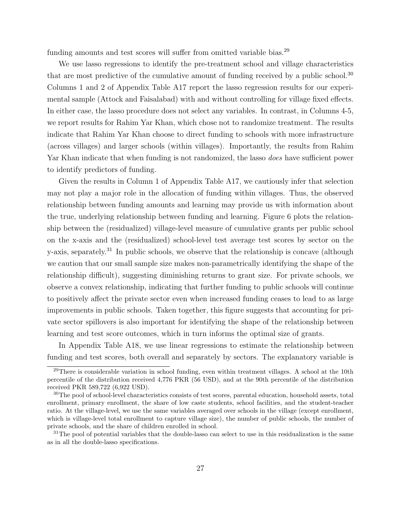funding amounts and test scores will suffer from omitted variable bias.<sup>29</sup>

We use lasso regressions to identify the pre-treatment school and village characteristics that are most predictive of the cumulative amount of funding received by a public school.<sup>30</sup> Columns 1 and 2 of Appendix Table A17 report the lasso regression results for our experimental sample (Attock and Faisalabad) with and without controlling for village fixed effects. In either case, the lasso procedure does not select any variables. In contrast, in Columns 4-5, we report results for Rahim Yar Khan, which chose not to randomize treatment. The results indicate that Rahim Yar Khan choose to direct funding to schools with more infrastructure (across villages) and larger schools (within villages). Importantly, the results from Rahim Yar Khan indicate that when funding is not randomized, the lasso does have sufficient power to identify predictors of funding.

Given the results in Column 1 of Appendix Table A17, we cautiously infer that selection may not play a major role in the allocation of funding within villages. Thus, the observed relationship between funding amounts and learning may provide us with information about the true, underlying relationship between funding and learning. Figure 6 plots the relationship between the (residualized) village-level measure of cumulative grants per public school on the x-axis and the (residualized) school-level test average test scores by sector on the y-axis, separately.<sup>31</sup> In public schools, we observe that the relationship is concave (although we caution that our small sample size makes non-parametrically identifying the shape of the relationship difficult), suggesting diminishing returns to grant size. For private schools, we observe a convex relationship, indicating that further funding to public schools will continue to positively affect the private sector even when increased funding ceases to lead to as large improvements in public schools. Taken together, this figure suggests that accounting for private sector spillovers is also important for identifying the shape of the relationship between learning and test score outcomes, which in turn informs the optimal size of grants.

In Appendix Table A18, we use linear regressions to estimate the relationship between funding and test scores, both overall and separately by sectors. The explanatory variable is

<sup>&</sup>lt;sup>29</sup>There is considerable variation in school funding, even within treatment villages. A school at the 10th percentile of the distribution received 4,776 PKR (56 USD), and at the 90th percentile of the distribution received PKR 589,722 (6,922 USD).

<sup>&</sup>lt;sup>30</sup>The pool of school-level characteristics consists of test scores, parental education, household assets, total enrollment, primary enrollment, the share of low caste students, school facilities, and the student-teacher ratio. At the village-level, we use the same variables averaged over schools in the village (except enrollment, which is village-level total enrollment to capture village size), the number of public schools, the number of private schools, and the share of children enrolled in school.

 $31$ The pool of potential variables that the double-lasso can select to use in this residualization is the same as in all the double-lasso specifications.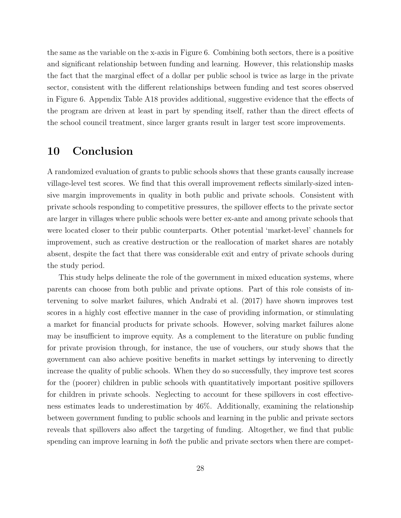the same as the variable on the x-axis in Figure 6. Combining both sectors, there is a positive and significant relationship between funding and learning. However, this relationship masks the fact that the marginal effect of a dollar per public school is twice as large in the private sector, consistent with the different relationships between funding and test scores observed in Figure 6. Appendix Table A18 provides additional, suggestive evidence that the effects of the program are driven at least in part by spending itself, rather than the direct effects of the school council treatment, since larger grants result in larger test score improvements.

### 10 Conclusion

A randomized evaluation of grants to public schools shows that these grants causally increase village-level test scores. We find that this overall improvement reflects similarly-sized intensive margin improvements in quality in both public and private schools. Consistent with private schools responding to competitive pressures, the spillover effects to the private sector are larger in villages where public schools were better ex-ante and among private schools that were located closer to their public counterparts. Other potential 'market-level' channels for improvement, such as creative destruction or the reallocation of market shares are notably absent, despite the fact that there was considerable exit and entry of private schools during the study period.

This study helps delineate the role of the government in mixed education systems, where parents can choose from both public and private options. Part of this role consists of intervening to solve market failures, which Andrabi et al. (2017) have shown improves test scores in a highly cost effective manner in the case of providing information, or stimulating a market for financial products for private schools. However, solving market failures alone may be insufficient to improve equity. As a complement to the literature on public funding for private provision through, for instance, the use of vouchers, our study shows that the government can also achieve positive benefits in market settings by intervening to directly increase the quality of public schools. When they do so successfully, they improve test scores for the (poorer) children in public schools with quantitatively important positive spillovers for children in private schools. Neglecting to account for these spillovers in cost effectiveness estimates leads to underestimation by 46%. Additionally, examining the relationship between government funding to public schools and learning in the public and private sectors reveals that spillovers also affect the targeting of funding. Altogether, we find that public spending can improve learning in *both* the public and private sectors when there are compet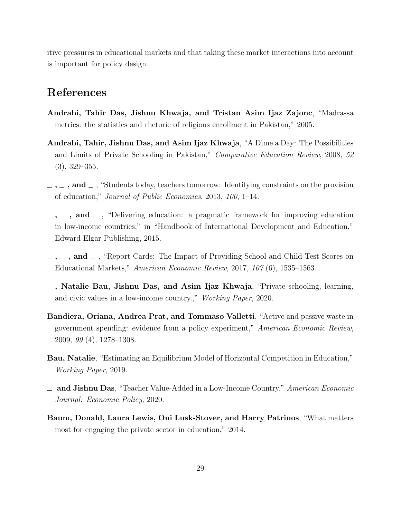itive pressures in educational markets and that taking these market interactions into account is important for policy design.

### References

- Andrabi, Tahir Das, Jishnu Khwaja, and Tristan Asim Ijaz Zajonc, "Madrassa metrics: the statistics and rhetoric of religious enrollment in Pakistan," 2005.
- Andrabi, Tahir, Jishnu Das, and Asim Ijaz Khwaja, "A Dime a Day: The Possibilities and Limits of Private Schooling in Pakistan," Comparative Education Review, 2008, 52 (3), 329–355.
- $,\_$ ,  $\_$ , and  $\_$ , "Students today, teachers tomorrow: Identifying constraints on the provision of education," Journal of Public Economics, 2013, 100, 1–14.
- $\ldots$ ,  $\ldots$ , and  $\ldots$ , "Delivering education: a pragmatic framework for improving education in low-income countries," in "Handbook of International Development and Education," Edward Elgar Publishing, 2015.
- $\ldots$ , and  $\ldots$ , "Report Cards: The Impact of Providing School and Child Test Scores on Educational Markets," American Economic Review, 2017, 107 (6), 1535–1563.
- , Natalie Bau, Jishnu Das, and Asim Ijaz Khwaja, "Private schooling, learning, and civic values in a low-income country.," Working Paper, 2020.
- Bandiera, Oriana, Andrea Prat, and Tommaso Valletti, "Active and passive waste in government spending: evidence from a policy experiment," American Economic Review, 2009, 99 (4), 1278–1308.
- Bau, Natalie, "Estimating an Equilibrium Model of Horizontal Competition in Education," Working Paper, 2019.
- and Jishnu Das, "Teacher Value-Added in a Low-Income Country," American Economic Journal: Economic Policy, 2020.
- Baum, Donald, Laura Lewis, Oni Lusk-Stover, and Harry Patrinos, "What matters most for engaging the private sector in education," 2014.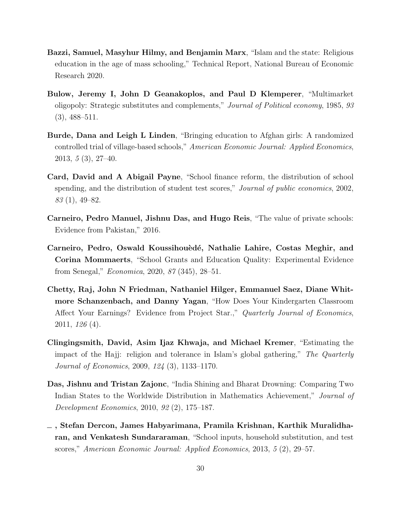- Bazzi, Samuel, Masyhur Hilmy, and Benjamin Marx, "Islam and the state: Religious education in the age of mass schooling," Technical Report, National Bureau of Economic Research 2020.
- Bulow, Jeremy I, John D Geanakoplos, and Paul D Klemperer, "Multimarket oligopoly: Strategic substitutes and complements," Journal of Political economy, 1985, 93  $(3), 488 - 511.$
- Burde, Dana and Leigh L Linden, "Bringing education to Afghan girls: A randomized controlled trial of village-based schools," American Economic Journal: Applied Economics, 2013, 5 (3), 27–40.
- Card, David and A Abigail Payne, "School finance reform, the distribution of school spending, and the distribution of student test scores," *Journal of public economics*, 2002, 83 (1), 49–82.
- Carneiro, Pedro Manuel, Jishnu Das, and Hugo Reis, "The value of private schools: Evidence from Pakistan," 2016.
- Carneiro, Pedro, Oswald Koussihouèdé, Nathalie Lahire, Costas Meghir, and Corina Mommaerts, "School Grants and Education Quality: Experimental Evidence from Senegal," Economica, 2020, 87 (345), 28–51.
- Chetty, Raj, John N Friedman, Nathaniel Hilger, Emmanuel Saez, Diane Whitmore Schanzenbach, and Danny Yagan, "How Does Your Kindergarten Classroom Affect Your Earnings? Evidence from Project Star.," Quarterly Journal of Economics, 2011, 126 (4).
- Clingingsmith, David, Asim Ijaz Khwaja, and Michael Kremer, "Estimating the impact of the Hajj: religion and tolerance in Islam's global gathering," The Quarterly Journal of Economics, 2009, 124 (3), 1133–1170.
- Das, Jishnu and Tristan Zajonc, "India Shining and Bharat Drowning: Comparing Two Indian States to the Worldwide Distribution in Mathematics Achievement," Journal of Development Economics, 2010, 92 (2), 175–187.
- , Stefan Dercon, James Habyarimana, Pramila Krishnan, Karthik Muralidharan, and Venkatesh Sundararaman, "School inputs, household substitution, and test scores," American Economic Journal: Applied Economics, 2013, 5 (2), 29–57.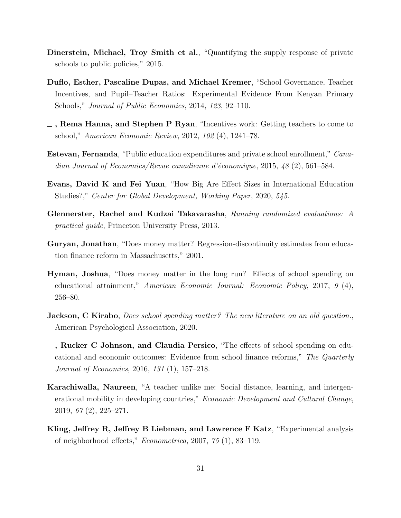- Dinerstein, Michael, Troy Smith et al., "Quantifying the supply response of private schools to public policies," 2015.
- Duflo, Esther, Pascaline Dupas, and Michael Kremer, "School Governance, Teacher Incentives, and Pupil–Teacher Ratios: Experimental Evidence From Kenyan Primary Schools," Journal of Public Economics, 2014, 123, 92–110.
- $\overline{\phantom{a}}$ , Rema Hanna, and Stephen P Ryan, "Incentives work: Getting teachers to come to school," American Economic Review, 2012, 102 (4), 1241–78.
- Estevan, Fernanda, "Public education expenditures and private school enrollment," Canadian Journal of Economics/Revue canadienne d'économique, 2015, 48 (2), 561–584.
- Evans, David K and Fei Yuan, "How Big Are Effect Sizes in International Education Studies?," Center for Global Development, Working Paper, 2020, 545.
- Glennerster, Rachel and Kudzai Takavarasha, Running randomized evaluations: A practical guide, Princeton University Press, 2013.
- Guryan, Jonathan, "Does money matter? Regression-discontinuity estimates from education finance reform in Massachusetts," 2001.
- Hyman, Joshua, "Does money matter in the long run? Effects of school spending on educational attainment," American Economic Journal: Economic Policy, 2017, 9 (4), 256–80.
- **Jackson, C Kirabo**, *Does school spending matter? The new literature on an old question.*, American Psychological Association, 2020.
- , Rucker C Johnson, and Claudia Persico, "The effects of school spending on educational and economic outcomes: Evidence from school finance reforms," The Quarterly Journal of Economics, 2016, 131 (1), 157–218.
- Karachiwalla, Naureen, "A teacher unlike me: Social distance, learning, and intergenerational mobility in developing countries," *Economic Development and Cultural Change*, 2019, 67 (2), 225–271.
- Kling, Jeffrey R, Jeffrey B Liebman, and Lawrence F Katz, "Experimental analysis of neighborhood effects," Econometrica, 2007, 75 (1), 83–119.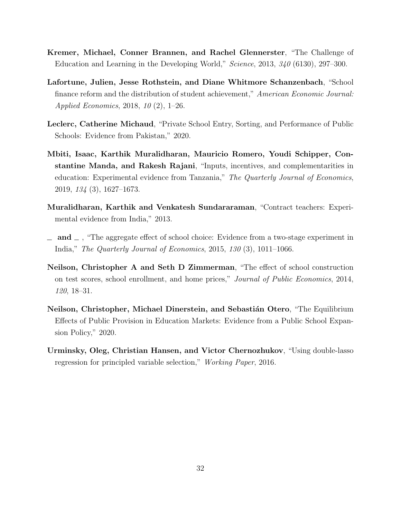- Kremer, Michael, Conner Brannen, and Rachel Glennerster, "The Challenge of Education and Learning in the Developing World," Science, 2013, 340 (6130), 297–300.
- Lafortune, Julien, Jesse Rothstein, and Diane Whitmore Schanzenbach, "School finance reform and the distribution of student achievement," American Economic Journal: Applied Economics, 2018, 10 (2), 1–26.
- Leclerc, Catherine Michaud, "Private School Entry, Sorting, and Performance of Public Schools: Evidence from Pakistan," 2020.
- Mbiti, Isaac, Karthik Muralidharan, Mauricio Romero, Youdi Schipper, Constantine Manda, and Rakesh Rajani, "Inputs, incentives, and complementarities in education: Experimental evidence from Tanzania," The Quarterly Journal of Economics, 2019, 134 (3), 1627–1673.
- Muralidharan, Karthik and Venkatesh Sundararaman, "Contract teachers: Experimental evidence from India," 2013.
- $\Box$  and  $\Box$ , "The aggregate effect of school choice: Evidence from a two-stage experiment in India," The Quarterly Journal of Economics, 2015, 130 (3), 1011–1066.
- Neilson, Christopher A and Seth D Zimmerman, "The effect of school construction on test scores, school enrollment, and home prices," Journal of Public Economics, 2014, 120, 18–31.
- Neilson, Christopher, Michael Dinerstein, and Sebastián Otero, "The Equilibrium Effects of Public Provision in Education Markets: Evidence from a Public School Expansion Policy," 2020.
- Urminsky, Oleg, Christian Hansen, and Victor Chernozhukov, "Using double-lasso regression for principled variable selection," Working Paper, 2016.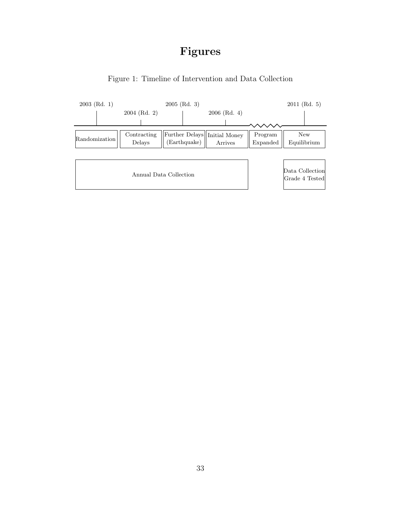## Figures



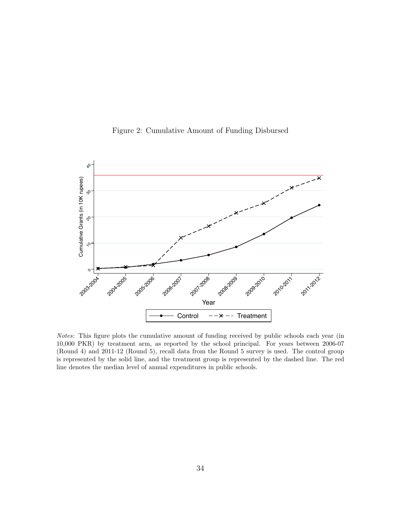

Figure 2: Cumulative Amount of Funding Disbursed

Notes: This figure plots the cumulative amount of funding received by public schools each year (in 10,000 PKR) by treatment arm, as reported by the school principal. For years between 2006-07 (Round 4) and 2011-12 (Round 5), recall data from the Round 5 survey is used. The control group is represented by the solid line, and the treatment group is represented by the dashed line. The red line denotes the median level of annual expenditures in public schools.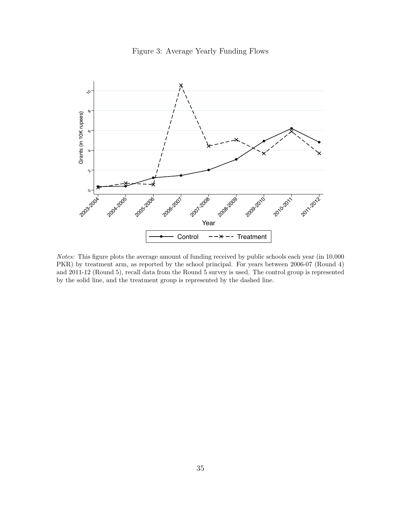



Notes: This figure plots the average amount of funding received by public schools each year (in 10,000 PKR) by treatment arm, as reported by the school principal. For years between 2006-07 (Round 4) and 2011-12 (Round 5), recall data from the Round 5 survey is used. The control group is represented by the solid line, and the treatment group is represented by the dashed line.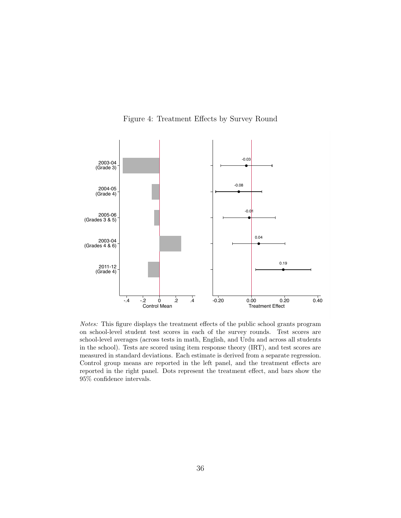

Figure 4: Treatment Effects by Survey Round

Notes: This figure displays the treatment effects of the public school grants program on school-level student test scores in each of the survey rounds. Test scores are school-level averages (across tests in math, English, and Urdu and across all students in the school). Tests are scored using item response theory (IRT), and test scores are measured in standard deviations. Each estimate is derived from a separate regression. Control group means are reported in the left panel, and the treatment effects are reported in the right panel. Dots represent the treatment effect, and bars show the 95% confidence intervals.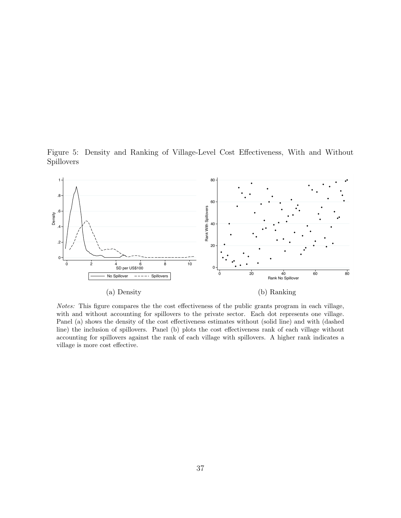Figure 5: Density and Ranking of Village-Level Cost Effectiveness, With and Without Spillovers



Notes: This figure compares the the cost effectiveness of the public grants program in each village, with and without accounting for spillovers to the private sector. Each dot represents one village. Panel (a) shows the density of the cost effectiveness estimates without (solid line) and with (dashed line) the inclusion of spillovers. Panel (b) plots the cost effectiveness rank of each village without accounting for spillovers against the rank of each village with spillovers. A higher rank indicates a village is more cost effective.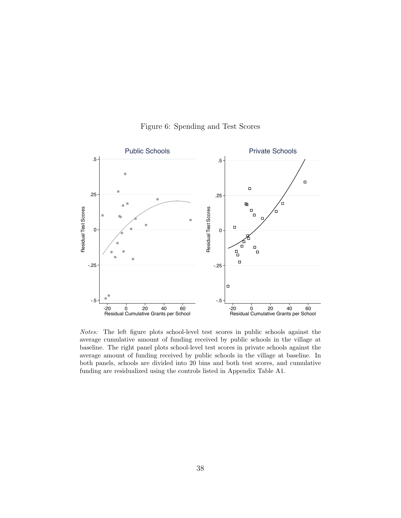

Figure 6: Spending and Test Scores

Notes: The left figure plots school-level test scores in public schools against the average cumulative amount of funding received by public schools in the village at baseline. The right panel plots school-level test scores in private schools against the average amount of funding received by public schools in the village at baseline. In both panels, schools are divided into 20 bins and both test scores, and cumulative funding are residualized using the controls listed in Appendix Table A1.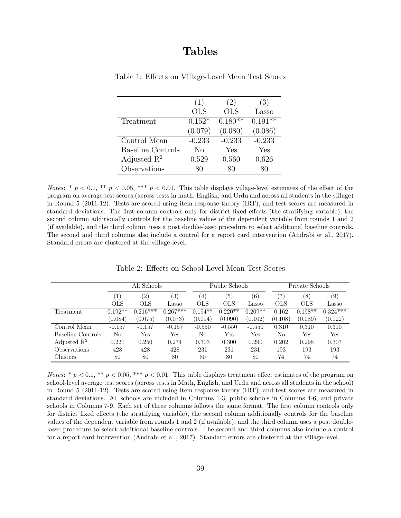### Tables

|                          | (1)        | (2)        | (3)       |
|--------------------------|------------|------------|-----------|
|                          | <b>OLS</b> | <b>OLS</b> | Lasso     |
| Treatment                | $0.152*$   | $0.180**$  | $0.191**$ |
|                          | (0.079)    | (0.080)    | (0.086)   |
| Control Mean             | $-0.233$   | $-0.233$   | $-0.233$  |
| <b>Baseline Controls</b> | No         | Yes        | Yes       |
| Adjusted $\mathbb{R}^2$  | 0.529      | 0.560      | 0.626     |
| Observations             |            | 80         | 80        |

Table 1: Effects on Village-Level Mean Test Scores

Notes: \*  $p < 0.1$ , \*\*  $p < 0.05$ , \*\*\*  $p < 0.01$ . This table displays village-level estimates of the effect of the program on average test scores (across tests in math, English, and Urdu and across all students in the village) in Round 5 (2011-12). Tests are scored using item response theory (IRT), and test scores are measured in standard deviations. The first column controls only for district fixed effects (the stratifying variable), the second column additionally controls for the baseline values of the dependent variable from rounds 1 and 2 (if available), and the third column uses a post double-lasso procedure to select additional baseline controls. The second and third columns also include a control for a report card intervention (Andrabi et al., 2017). Standard errors are clustered at the village-level.

|                         |                  | All Schools       |            |                  | Public Schools |           | Private Schools |                  |            |  |
|-------------------------|------------------|-------------------|------------|------------------|----------------|-----------|-----------------|------------------|------------|--|
|                         | $\left(1\right)$ | $\left( 2\right)$ | (3)        | $\left(4\right)$ | (5)            | (6)       | 7)              | $\left(8\right)$ | (9)        |  |
|                         | <b>OLS</b>       | <b>OLS</b>        | Lasso      | OLS              | OLS            | Lasso     | OLS             | <b>OLS</b>       | Lasso      |  |
| Treatment               | $0.192**$        | $0.216***$        | $0.267***$ | $0.194**$        | $0.220*$       | $0.209**$ | 0.162           | $0.198**$        | $0.324***$ |  |
|                         | (0.084)          | (0.075)           | (0.073)    | (0.094)          | (0.090)        | (0.102)   | (0.108)         | (0.089)          | (0.122)    |  |
| Control Mean            | $-0.157$         | $-0.157$          | $-0.157$   | $-0.550$         | $-0.550$       | $-0.550$  | 0.310           | 0.310            | 0.310      |  |
| Baseline Controls       | No               | Yes               | Yes        | No               | Yes            | Yes       | No              | Yes              | Yes        |  |
| Adjusted $\mathbb{R}^2$ | 0.221            | 0.250             | 0.274      | 0.303            | 0.300          | 0.290     | 0.202           | 0.298            | 0.307      |  |
| Observations            | 428              | 428               | 428        | 231              | 231            | 231       | 193             | 193              | 193        |  |
| Clusters                | 80               | 80                | 80         | 80               | 80             | 80        | 74              | 74               | 74         |  |

Table 2: Effects on School-Level Mean Test Scores

Notes: \*  $p < 0.1$ , \*\*  $p < 0.05$ , \*\*\*  $p < 0.01$ . This table displays treatment effect estimates of the program on school-level average test scores (across tests in Math, English, and Urdu and across all students in the school) in Round 5 (2011-12). Tests are scored using item response theory (IRT), and test scores are measured in standard deviations. All schools are included in Columns 1-3, public schools in Columns 4-6, and private schools in Columns 7-9. Each set of three columns follows the same format. The first column controls only for district fixed effects (the stratifying variable), the second column additionally controls for the baseline values of the dependent variable from rounds 1 and 2 (if available), and the third column uses a post doublelasso procedure to select additional baseline controls. The second and third columns also include a control for a report card intervention (Andrabi et al., 2017). Standard errors are clustered at the village-level.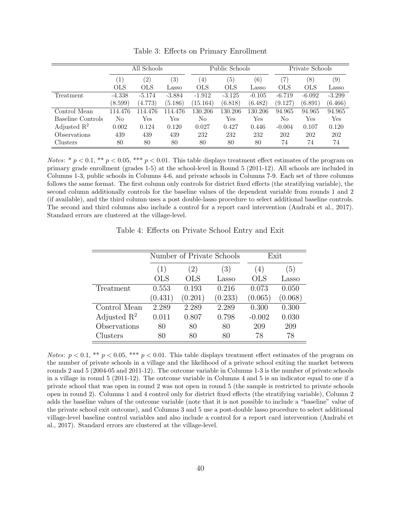|                         |                  | All Schools       |                  |                  | Public Schools |                   | Private Schools |                  |          |  |
|-------------------------|------------------|-------------------|------------------|------------------|----------------|-------------------|-----------------|------------------|----------|--|
|                         | $\left  \right $ | $\left( 2\right)$ | $\left(3\right)$ | $\left(4\right)$ | (5)            | $\left( 6\right)$ | 7               | $\left(8\right)$ | (9)      |  |
|                         | <b>OLS</b>       | <b>OLS</b>        | Lasso            | OLS              | <b>OLS</b>     | Lasso             | OLS             | <b>OLS</b>       | Lasso    |  |
| Treatment               | $-4.338$         | $-5.174$          | $-3.884$         | $-1.912$         | $-3.125$       | $-0.105$          | $-6.719$        | $-6.092$         | $-3.299$ |  |
|                         | (8.599)          | (4.773)           | (5.186)          | (15.164)         | (6.818)        | (6.482)           | (9.127)         | (6.891)          | (6.466)  |  |
| Control Mean            | 114.476          | 114.476           | 114.476          | 130.206          | 130.206        | 130.206           | 94.965          | 94.965           | 94.965   |  |
| Baseline Controls       | No               | Yes               | Yes              | No               | Yes            | Yes               | No              | Yes              | Yes      |  |
| Adjusted $\mathbb{R}^2$ | 0.002            | 0.124             | 0.120            | 0.027            | 0.427          | 0.446             | $-0.004$        | 0.107            | 0.120    |  |
| Observations            | 439              | 439               | 439              | 232              | 232            | 232               | 202             | 202              | 202      |  |
| Clusters                | 80               | 80                | 80               | 80               | 80             | 80                | 74              | 74               | 74       |  |

Table 3: Effects on Primary Enrollment

Notes: \*  $p < 0.1$ , \*\*  $p < 0.05$ , \*\*\*  $p < 0.01$ . This table displays treatment effect estimates of the program on primary grade enrollment (grades 1-5) at the school-level in Round 5 (2011-12). All schools are included in Columns 1-3, public schools in Columns 4-6, and private schools in Columns 7-9. Each set of three columns follows the same format. The first column only controls for district fixed effects (the stratifying variable), the second column additionally controls for the baseline values of the dependent variable from rounds 1 and 2 (if available), and the third column uses a post double-lasso procedure to select additional baseline controls. The second and third columns also include a control for a report card intervention (Andrabi et al., 2017). Standard errors are clustered at the village-level.

Table 4: Effects on Private School Entry and Exit

|                         |                   | Number of Private Schools | Exit    |            |         |  |
|-------------------------|-------------------|---------------------------|---------|------------|---------|--|
|                         | (3)<br>(1)<br>(2) |                           |         | (4)        | (5)     |  |
|                         | <b>OLS</b>        | OLS                       | Lasso   | <b>OLS</b> | Lasso   |  |
| Treatment               | 0.553             | 0.193                     | 0.216   | 0.073      | 0.050   |  |
|                         | (0.431)           | (0.201)                   | (0.233) | (0.065)    | (0.068) |  |
| Control Mean            | 2.289             | 2.289                     | 2.289   | 0.300      | 0.300   |  |
| Adjusted $\mathbb{R}^2$ | 0.011             | 0.807                     | 0.798   | $-0.002$   | 0.030   |  |
| Observations            | 80                | 80                        | 80      | 209        | 209     |  |
| Clusters                | 80                | 80                        | 80      | 78         | 78      |  |

Notes:  $p < 0.1$ , \*\*  $p < 0.05$ , \*\*\*  $p < 0.01$ . This table displays treatment effect estimates of the program on the number of private schools in a village and the likelihood of a private school exiting the market between rounds 2 and 5 (2004-05 and 2011-12). The outcome variable in Columns 1-3 is the number of private schools in a village in round 5 (2011-12). The outcome variable in Columns 4 and 5 is an indicator equal to one if a private school that was open in round 2 was not open in round 5 (the sample is restricted to private schools open in round 2). Columns 1 and 4 control only for district fixed effects (the stratifying variable), Column 2 adds the baseline values of the outcome variable (note that it is not possible to include a "baseline" value of the private school exit outcome), and Columns 3 and 5 use a post-double lasso procedure to select additional village-level baseline control variables and also include a control for a report card intervention (Andrabi et al., 2017). Standard errors are clustered at the village-level.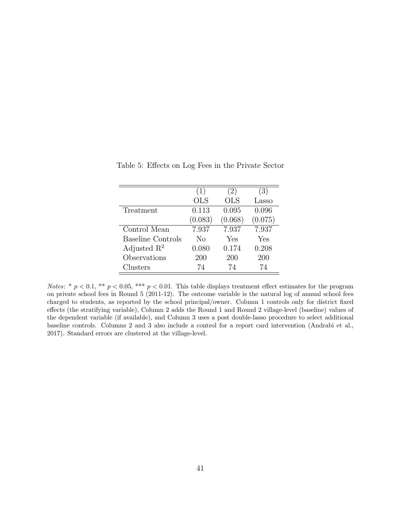|                          |         | (2)        | (3)     |
|--------------------------|---------|------------|---------|
|                          | (1)     |            |         |
|                          | OLS     | <b>OLS</b> | Lasso   |
| Treatment                | 0.113   | 0.095      | 0.096   |
|                          | (0.083) | (0.068)    | (0.075) |
| Control Mean             | 7.937   | 7.937      | 7.937   |
| <b>Baseline Controls</b> | No      | Yes        | Yes     |
| Adjusted $\mathbb{R}^2$  | 0.080   | 0.174      | 0.208   |
| Observations             | 200     | 200        | 200     |
| Clusters                 | 74      | 74         | 74      |

Table 5: Effects on Log Fees in the Private Sector

Notes: \*  $p < 0.1$ , \*\*  $p < 0.05$ , \*\*\*  $p < 0.01$ . This table displays treatment effect estimates for the program on private school fees in Round 5 (2011-12). The outcome variable is the natural log of annual school fees charged to students, as reported by the school principal/owner. Column 1 controls only for district fixed effects (the stratifying variable), Column 2 adds the Round 1 and Round 2 village-level (baseline) values of the dependent variable (if available), and Column 3 uses a post double-lasso procedure to select additional baseline controls. Columns 2 and 3 also include a control for a report card intervention (Andrabi et al., 2017). Standard errors are clustered at the village-level.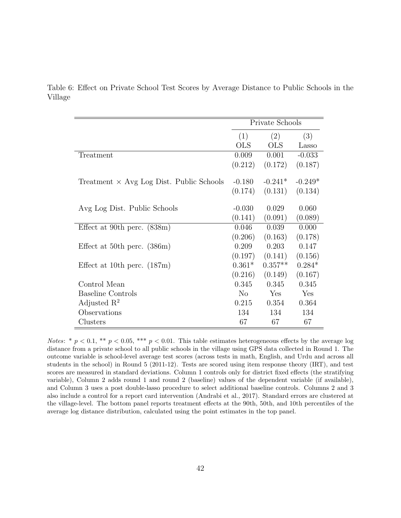|         |  |  |  |  | Table 6: Effect on Private School Test Scores by Average Distance to Public Schools in the |  |  |  |
|---------|--|--|--|--|--------------------------------------------------------------------------------------------|--|--|--|
| Village |  |  |  |  |                                                                                            |  |  |  |

|                                                 |            | Private Schools |           |
|-------------------------------------------------|------------|-----------------|-----------|
|                                                 | (1)        | (2)             | (3)       |
|                                                 | <b>OLS</b> | <b>OLS</b>      | Lasso     |
| Treatment                                       | 0.009      | 0.001           | $-0.033$  |
|                                                 | (0.212)    | (0.172)         | (0.187)   |
| Treatment $\times$ Avg Log Dist. Public Schools | $-0.180$   | $-0.241*$       | $-0.249*$ |
|                                                 | (0.174)    | (0.131)         | (0.134)   |
| Avg Log Dist. Public Schools                    | $-0.030$   | 0.029           | 0.060     |
|                                                 | (0.141)    | (0.091)         | (0.089)   |
| Effect at 90th perc. $(838m)$                   | 0.046      | 0.039           | 0.000     |
|                                                 | (0.206)    | (0.163)         | (0.178)   |
| Effect at 50th perc. $(386m)$                   | 0.209      | 0.203           | 0.147     |
|                                                 | (0.197)    | (0.141)         | (0.156)   |
| Effect at 10th perc. $(187m)$                   | $0.361*$   | $0.357**$       | $0.284*$  |
|                                                 | (0.216)    | (0.149)         | (0.167)   |
| Control Mean                                    | 0.345      | 0.345           | 0.345     |
| Baseline Controls                               | $\rm No$   | Yes             | Yes       |
| Adjusted $\mathbb{R}^2$                         | 0.215      | 0.354           | 0.364     |
| Observations                                    | 134        | 134             | 134       |
| Clusters                                        | 67         | 67              | 67        |

Notes: \*  $p < 0.1$ , \*\*  $p < 0.05$ , \*\*\*  $p < 0.01$ . This table estimates heterogeneous effects by the average log distance from a private school to all public schools in the village using GPS data collected in Round 1. The outcome variable is school-level average test scores (across tests in math, English, and Urdu and across all students in the school) in Round 5 (2011-12). Tests are scored using item response theory (IRT), and test scores are measured in standard deviations. Column 1 controls only for district fixed effects (the stratifying variable), Column 2 adds round 1 and round 2 (baseline) values of the dependent variable (if available), and Column 3 uses a post double-lasso procedure to select additional baseline controls. Columns 2 and 3 also include a control for a report card intervention (Andrabi et al., 2017). Standard errors are clustered at the village-level. The bottom panel reports treatment effects at the 90th, 50th, and 10th percentiles of the average log distance distribution, calculated using the point estimates in the top panel.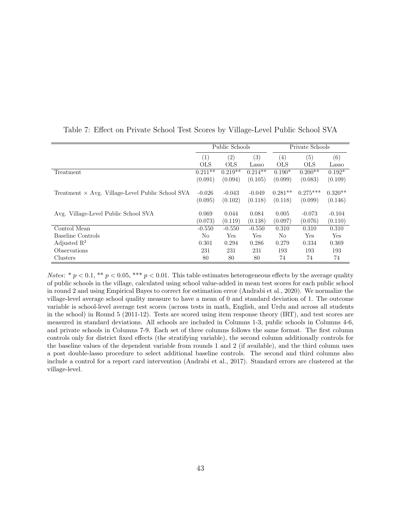|                                                         |            | Public Schools |           | Private Schools   |            |           |  |
|---------------------------------------------------------|------------|----------------|-----------|-------------------|------------|-----------|--|
|                                                         | (1)        | (2)            | (3)       | $\left( 4\right)$ | (5)        | (6)       |  |
|                                                         | <b>OLS</b> | <b>OLS</b>     | Lasso     | <b>OLS</b>        | <b>OLS</b> | Lasso     |  |
| Treatment                                               | $0.211**$  | $0.219**$      | $0.214**$ | $0.190*$          | $0.200**$  | $0.192*$  |  |
|                                                         | (0.091)    | (0.094)        | (0.105)   | (0.099)           | (0.083)    | (0.109)   |  |
| Treatment $\times$ Avg. Village-Level Public School SVA | $-0.026$   | $-0.043$       | $-0.049$  | $0.281**$         | $0.275***$ | $0.320**$ |  |
|                                                         | (0.095)    | (0.102)        | (0.118)   | (0.118)           | (0.099)    | (0.146)   |  |
| Avg. Village-Level Public School SVA                    | 0.069      | 0.044          | 0.084     | 0.005             | $-0.073$   | $-0.104$  |  |
|                                                         | (0.073)    | (0.119)        | (0.138)   | (0.097)           | (0.076)    | (0.110)   |  |
| Control Mean                                            | $-0.550$   | $-0.550$       | $-0.550$  | 0.310             | 0.310      | 0.310     |  |
| Baseline Controls                                       | No         | Yes            | Yes       | No                | Yes        | Yes       |  |
| Adjusted $\mathbb{R}^2$                                 | 0.301      | 0.294          | 0.286     | 0.279             | 0.334      | 0.369     |  |
| Observations                                            | 231        | 231            | 231       | 193               | 193        | 193       |  |
| Clusters                                                | 80         | 80             | 80        | 74                | 74         | 74        |  |

Table 7: Effect on Private School Test Scores by Village-Level Public School SVA

*Notes*: \*  $p < 0.1$ , \*\*  $p < 0.05$ , \*\*\*  $p < 0.01$ . This table estimates heterogeneous effects by the average quality of public schools in the village, calculated using school value-added in mean test scores for each public school in round 2 and using Empirical Bayes to correct for estimation error (Andrabi et al., 2020). We normalize the village-level average school quality measure to have a mean of 0 and standard deviation of 1. The outcome variable is school-level average test scores (across tests in math, English, and Urdu and across all students in the school) in Round 5 (2011-12). Tests are scored using item response theory (IRT), and test scores are measured in standard deviations. All schools are included in Columns 1-3, public schools in Columns 4-6, and private schools in Columns 7-9. Each set of three columns follows the same format. The first column controls only for district fixed effects (the stratifying variable), the second column additionally controls for the baseline values of the dependent variable from rounds 1 and 2 (if available), and the third column uses a post double-lasso procedure to select additional baseline controls. The second and third columns also include a control for a report card intervention (Andrabi et al., 2017). Standard errors are clustered at the village-level.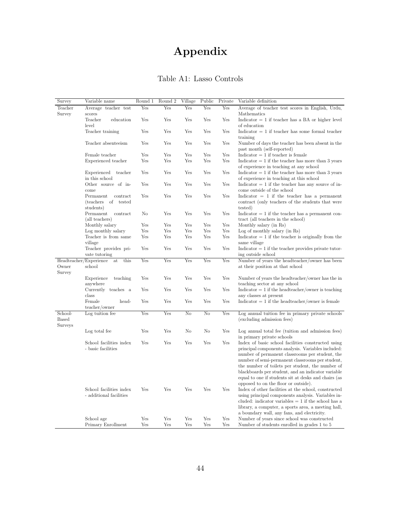# Appendix

| Table A1: Lasso Controls |  |
|--------------------------|--|

| Survey       | Variable name                                              | Round 1 | Round <sub>2</sub>        | Village | Public | Private | Variable definition                                                                                    |
|--------------|------------------------------------------------------------|---------|---------------------------|---------|--------|---------|--------------------------------------------------------------------------------------------------------|
| Teacher      | Average teacher test                                       | Yes     | $\overline{\mathrm{Yes}}$ | Yes     | Yes    | Yes     | Average of teacher test scores in English, Urdu,                                                       |
| Survey       | scores                                                     |         |                           |         |        |         | Mathematics                                                                                            |
|              | Teacher<br>education<br>level                              | Yes     | Yes                       | Yes     | Yes    | Yes     | Indicator $= 1$ if teacher has a BA or higher level<br>of education                                    |
|              | Teacher training                                           | Yes     | Yes                       | Yes     | Yes    | Yes     | Indicator $= 1$ if teacher has some formal teacher<br>training                                         |
|              | Teacher absenteeism                                        | Yes     | Yes                       | Yes     | Yes    | Yes     | Number of days the teacher has been absent in the                                                      |
|              |                                                            |         |                           |         |        |         | past month (self-reported)                                                                             |
|              | Female teacher                                             | Yes     | Yes                       | Yes     | Yes    | Yes     | $Indicator = 1$ if teacher is female                                                                   |
|              | Experienced teacher                                        | Yes     | Yes                       | Yes     | Yes    | Yes     | $Indication = 1$ if the teacher has more than 3 years                                                  |
|              | Experienced<br>teacher                                     | Yes     | Yes                       | Yes     | Yes    | Yes     | of experience in teaching at any school<br>Indicator $= 1$ if the teacher has more than 3 years        |
|              | in this school                                             |         |                           |         |        |         | of experience in teaching at this school                                                               |
|              | Other source of in-                                        | Yes     | Yes                       | Yes     | Yes    | Yes     | $Indication = 1$ if the teacher has any source of in-                                                  |
|              | come                                                       |         |                           |         |        |         | come outside of the school                                                                             |
|              | Permanent<br>contract<br><i>(teachers)</i><br>of<br>tested | Yes     | Yes                       | Yes     | Yes    | Yes     | Indicator $= 1$ if the teacher has a permanent<br>contract (only teachers of the students that were    |
|              | students)                                                  |         |                           |         |        |         | tested)                                                                                                |
|              | Permanent<br>contract<br>(all teachers)                    | No      | Yes                       | Yes     | Yes    | Yes     | $Indication = 1$ if the teacher has a permanent con-<br>tract (all teachers in the school)             |
|              | Monthly salary                                             | Yes     | Yes                       | Yes     | Yes    | Yes     | Monthly salary (in Rs)                                                                                 |
|              | Log monthly salary                                         | Yes     | Yes                       | Yes     | Yes    | Yes     | Log of monthly salary (in Rs)                                                                          |
|              | Teacher is from same                                       | Yes     | Yes                       | Yes     | Yes    | Yes     | $Indication = 1$ if the teacher is originally from the                                                 |
|              | village                                                    |         |                           |         |        |         | same village                                                                                           |
|              | Teacher provides pri-                                      | Yes     | Yes                       | Yes     | Yes    | Yes     | $Indication = 1$ if the teacher provides private tutor-                                                |
|              | vate tutoring<br>Headteacher/Experience<br>at<br>this      | Yes     | Yes                       | Yes     | Yes    | Yes     | ing outside school<br>Number of years the headteacher/owner has been                                   |
| Owner        | school                                                     |         |                           |         |        |         | at their position at that school                                                                       |
| Survey       |                                                            |         |                           |         |        |         |                                                                                                        |
|              | Experience<br>teaching<br>anywhere                         | Yes     | Yes                       | Yes     | Yes    | Yes     | Number of years the headteacher/owner has the in<br>teaching sector at any school                      |
|              | Currently teaches a                                        | Yes     | Yes                       | Yes     | Yes    | Yes     | $Indication = 1$ if the headteacher/owner is teaching                                                  |
|              | class                                                      |         |                           |         |        |         | any classes at present                                                                                 |
|              | Female<br>head-                                            | Yes     | Yes                       | Yes     | Yes    | Yes     | $Indication = 1$ if the headteacher/owner is female                                                    |
| School-      | teacher/owner<br>Log tuition fee                           | Yes     | Yes                       | No      | No     | Yes     | Log annual tuition fee in primary private schools                                                      |
| <b>Based</b> |                                                            |         |                           |         |        |         | (excluding admission fees)                                                                             |
| Surveys      |                                                            |         |                           |         |        |         |                                                                                                        |
|              | Log total fee                                              | Yes     | Yes                       | No      | No     | Yes     | Log annual total fee (tuition and admission fees)<br>in primary private schools                        |
|              | School facilities index                                    | Yes     | Yes                       | Yes     | Yes    | Yes     | Index of basic school facilities constructed using                                                     |
|              | - basic facilities                                         |         |                           |         |        |         | principal components analysis. Variables included:                                                     |
|              |                                                            |         |                           |         |        |         | number of permanent classrooms per student, the                                                        |
|              |                                                            |         |                           |         |        |         | number of semi-permanent classrooms per student,                                                       |
|              |                                                            |         |                           |         |        |         | the number of toilets per student, the number of<br>blackboards per student, and an indicator variable |
|              |                                                            |         |                           |         |        |         | equal to one if students sit at desks and chairs (as                                                   |
|              |                                                            |         |                           |         |        |         | opposed to on the floor or outside).                                                                   |
|              | School facilities index                                    | Yes     | Yes                       | Yes     | Yes    | Yes     | Index of other facilities at the school, constructed                                                   |
|              | - additional facilities                                    |         |                           |         |        |         | using principal components analysis. Variables in-                                                     |
|              |                                                            |         |                           |         |        |         | cluded: indicator variables $= 1$ if the school has a                                                  |
|              |                                                            |         |                           |         |        |         | library, a computer, a sports area, a meeting hall,<br>a boundary wall, any fans, and electricity.     |
|              | School age                                                 | Yes     | Yes                       | Yes     | Yes    | Yes     | Number of years since school was constructed                                                           |
|              | Primary Enrollment                                         | Yes     | Yes                       | Yes     | Yes    | Yes     | Number of students enrolled in grades 1 to 5                                                           |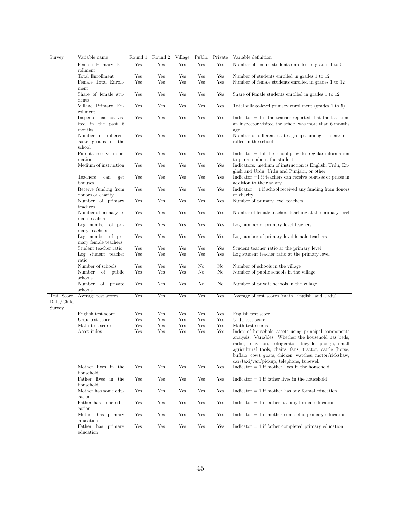| Survey                             | Variable name                                          | Round 1 | Round 2    | Village    | Public     | Private | Variable definition                                                                                                                                                                                                                                                                                                                                                                 |
|------------------------------------|--------------------------------------------------------|---------|------------|------------|------------|---------|-------------------------------------------------------------------------------------------------------------------------------------------------------------------------------------------------------------------------------------------------------------------------------------------------------------------------------------------------------------------------------------|
|                                    | Female Primary En-                                     | Yes     | Yes        | Yes        | Yes        | Yes     | Number of female students enrolled in grades 1 to 5                                                                                                                                                                                                                                                                                                                                 |
|                                    | rollment                                               |         |            |            |            |         |                                                                                                                                                                                                                                                                                                                                                                                     |
|                                    | Total Enrollment                                       | Yes     | Yes<br>Yes | Yes<br>Yes | Yes<br>Yes | Yes     | Number of students enrolled in grades 1 to 12                                                                                                                                                                                                                                                                                                                                       |
|                                    | Female Total Enroll-<br>ment                           | Yes     |            |            |            | Yes     | Number of female students enrolled in grades 1 to 12                                                                                                                                                                                                                                                                                                                                |
|                                    | Share of female stu-<br>dents                          | Yes     | Yes        | Yes        | Yes        | Yes     | Share of female students enrolled in grades 1 to 12                                                                                                                                                                                                                                                                                                                                 |
|                                    | Village Primary En-<br>rollment                        | Yes     | Yes        | Yes        | Yes        | Yes     | Total village-level primary enrollment (grades 1 to 5)                                                                                                                                                                                                                                                                                                                              |
|                                    | Inspector has not vis-<br>ited in the past 6<br>months | Yes     | Yes        | Yes        | Yes        | Yes     | Indicator $= 1$ if the teacher reported that the last time<br>an inspector visited the school was more than 6 months                                                                                                                                                                                                                                                                |
|                                    | Number of different<br>caste groups in the<br>school   | Yes     | Yes        | Yes        | Yes        | Yes     | ago<br>Number of different castes groups among students en-<br>rolled in the school                                                                                                                                                                                                                                                                                                 |
|                                    | Parents receive infor-<br>mation                       | Yes     | Yes        | Yes        | Yes        | Yes     | $Indication = 1$ if the school provides regular information                                                                                                                                                                                                                                                                                                                         |
|                                    | Medium of instruction                                  | Yes     | Yes        | Yes        | Yes        | Yes     | to parents about the student<br>Indicators: medium of instruction is English, Urdu, En-<br>glish and Urdu, Urdu and Punjabi, or other                                                                                                                                                                                                                                               |
|                                    | Teachers<br>can<br>get<br>bonuses                      | Yes     | Yes        | Yes        | Yes        | Yes     | $Indication = 1$ if teachers can receive bonuses or prizes in<br>addition to their salary                                                                                                                                                                                                                                                                                           |
|                                    | Receive funding from<br>donors or charity              | Yes     | Yes        | Yes        | Yes        | Yes     | $Indication = 1$ if school received any funding from donors<br>or charity                                                                                                                                                                                                                                                                                                           |
|                                    | Number of primary<br>teachers                          | Yes     | Yes        | Yes        | Yes        | Yes     | Number of primary level teachers                                                                                                                                                                                                                                                                                                                                                    |
|                                    | Number of primary fe-<br>male teachers                 | Yes     | Yes        | Yes        | Yes        | Yes     | Number of female teachers teaching at the primary level                                                                                                                                                                                                                                                                                                                             |
|                                    | Log number of pri-<br>mary teachers                    | Yes     | Yes        | Yes        | Yes        | Yes     | Log number of primary level teachers                                                                                                                                                                                                                                                                                                                                                |
|                                    | Log number of pri-<br>mary female teachers             | Yes     | Yes        | Yes        | Yes        | Yes     | Log number of primary level female teachers                                                                                                                                                                                                                                                                                                                                         |
|                                    | Student teacher ratio                                  | Yes     | Yes        | Yes        | Yes        | Yes     | Student teacher ratio at the primary level                                                                                                                                                                                                                                                                                                                                          |
|                                    | Log student teacher<br>ratio                           | Yes     | Yes        | Yes        | Yes        | Yes     | Log student teacher ratio at the primary level                                                                                                                                                                                                                                                                                                                                      |
|                                    | Number of schools                                      | Yes     | Yes        | Yes        | No         | No      | Number of schools in the village                                                                                                                                                                                                                                                                                                                                                    |
|                                    | Number<br>οf<br>public                                 | Yes     | Yes        | Yes        | No         | No      | Number of public schools in the village                                                                                                                                                                                                                                                                                                                                             |
|                                    | schools                                                |         |            |            |            |         |                                                                                                                                                                                                                                                                                                                                                                                     |
|                                    | Number<br>of private<br>schools                        | Yes     | Yes        | Yes        | No         | No      | Number of private schools in the village                                                                                                                                                                                                                                                                                                                                            |
| Test Score<br>Data/Child<br>Survey | Average test scores                                    | Yes     | Yes        | Yes        | Yes        | Yes     | Average of test scores (math, English, and Urdu)                                                                                                                                                                                                                                                                                                                                    |
|                                    | English test score                                     | Yes     | Yes        | Yes        | Yes        | Yes     | English test score                                                                                                                                                                                                                                                                                                                                                                  |
|                                    | Urdu test score                                        | Yes     | Yes        | Yes        | Yes        | Yes     | Urdu test score                                                                                                                                                                                                                                                                                                                                                                     |
|                                    | Math test score                                        | Yes     | Yes        | Yes        | Yes        | Yes     | Math test scores                                                                                                                                                                                                                                                                                                                                                                    |
|                                    | Asset index                                            | Yes     | Yes        | Yes        | Yes        | Yes     | Index of household assets using principal components<br>analysis. Variables: Whether the household has beds,<br>radio, television, refrigerator, bicycle, plough, small<br>agricultural tools, chairs, fans, tractor, cattle (horse,<br>buffalo, cow), goats, chicken, watches, motor/rickshaw,<br>$\frac{\text{car}}{\text{taxi}}/\text{van}/\text{pickup}$ , telephone, tubewell. |
|                                    | Mother lives in the<br>household                       | Yes     | Yes        | Yes        | Yes        | Yes     | Indicator $= 1$ if mother lives in the household                                                                                                                                                                                                                                                                                                                                    |
|                                    | Father lives in the<br>household                       | Yes     | Yes        | Yes        | Yes        | Yes     | $Indication = 1$ if father lives in the household                                                                                                                                                                                                                                                                                                                                   |
|                                    | Mother has some edu-<br>cation                         | Yes     | Yes        | Yes        | Yes        | Yes     | $Indicator = 1$ if mother has any formal education                                                                                                                                                                                                                                                                                                                                  |
|                                    | Father has some edu-<br>cation                         | Yes     | Yes        | Yes        | Yes        | Yes     | $Indicator = 1$ if father has any formal education                                                                                                                                                                                                                                                                                                                                  |
|                                    | Mother has primary<br>education                        | Yes     | Yes        | Yes        | Yes        | Yes     | $Indicator = 1$ if mother completed primary education                                                                                                                                                                                                                                                                                                                               |
|                                    | Father has primary<br>education                        | Yes     | Yes        | Yes        | Yes        | Yes     | $Indicator = 1$ if father completed primary education                                                                                                                                                                                                                                                                                                                               |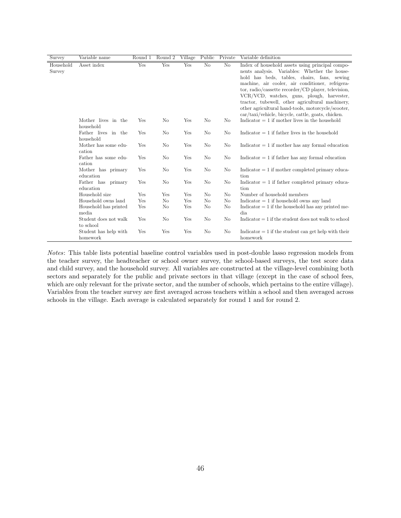| <b>Survey</b>       | Variable name                      | Round 1 | Round <sub>2</sub> | Village | Public                 | Private                | Variable definition                                                                                                                                                                                                                                                                                                                                           |
|---------------------|------------------------------------|---------|--------------------|---------|------------------------|------------------------|---------------------------------------------------------------------------------------------------------------------------------------------------------------------------------------------------------------------------------------------------------------------------------------------------------------------------------------------------------------|
| Household<br>Survey | Asset index                        | Yes     | Yes                | Yes     | $\overline{\text{No}}$ | $\overline{\text{No}}$ | Index of household assets using principal compo-<br>nents analysis. Variables: Whether the house-<br>hold has beds, tables, chairs, fans, sewing<br>machine, air cooler, air conditioner, refrigera-<br>tor, radio/cassette recorder/CD player, television,<br>VCR/VCD, watches, guns, plough, harvester,<br>tractor, tubewell, other agricultural machinery, |
|                     |                                    |         |                    |         |                        |                        | other agricultural hand-tools, motorcycle/scooter,<br>car/taxi/vehicle, bicycle, cattle, goats, chicken.                                                                                                                                                                                                                                                      |
|                     | Mother lives in the<br>household   | Yes     | N <sub>o</sub>     | Yes     | No                     | No                     | Indicator $= 1$ if mother lives in the household                                                                                                                                                                                                                                                                                                              |
|                     | Father lives in the<br>household   | Yes     | No                 | Yes     | No                     | No                     | Indicator $= 1$ if father lives in the household                                                                                                                                                                                                                                                                                                              |
|                     | Mother has some edu-<br>cation     | Yes     | N <sub>o</sub>     | Yes     | No                     | No                     | Indicator $= 1$ if mother has any formal education                                                                                                                                                                                                                                                                                                            |
|                     | Father has some edu-<br>cation     | Yes     | No                 | Yes     | N <sub>o</sub>         | No                     | Indicator $= 1$ if father has any formal education                                                                                                                                                                                                                                                                                                            |
|                     | Mother has primary<br>education    | Yes     | No                 | Yes     | No                     | No                     | $Indicator = 1$ if mother completed primary educa-<br>tion                                                                                                                                                                                                                                                                                                    |
|                     | Father has primary<br>education    | Yes     | No                 | Yes     | N <sub>o</sub>         | No                     | Indicator $= 1$ if father completed primary educa-<br>tion                                                                                                                                                                                                                                                                                                    |
|                     | Household size                     | Yes     | Yes                | Yes     | No                     | No                     | Number of household members                                                                                                                                                                                                                                                                                                                                   |
|                     | Household owns land                | Yes     | No                 | Yes     | N <sub>o</sub>         | No                     | Indicator $= 1$ if household owns any land                                                                                                                                                                                                                                                                                                                    |
|                     | Household has printed<br>media     | Yes     | No                 | Yes     | No                     | No                     | Indicator $= 1$ if the household has any printed me-<br>dia                                                                                                                                                                                                                                                                                                   |
|                     | Student does not walk<br>to school | Yes     | N <sub>o</sub>     | Yes     | No                     | No                     | Indicator $= 1$ if the student does not walk to school                                                                                                                                                                                                                                                                                                        |
|                     | Student has help with<br>homework  | Yes     | Yes                | Yes     | No                     | No                     | Indicator $= 1$ if the student can get help with their<br>homework                                                                                                                                                                                                                                                                                            |

Notes: This table lists potential baseline control variables used in post-double lasso regression models from the teacher survey, the headteacher or school owner survey, the school-based surveys, the test score data and child survey, and the household survey. All variables are constructed at the village-level combining both sectors and separately for the public and private sectors in that village (except in the case of school fees, which are only relevant for the private sector, and the number of schools, which pertains to the entire village). Variables from the teacher survey are first averaged across teachers within a school and then averaged across schools in the village. Each average is calculated separately for round 1 and for round 2.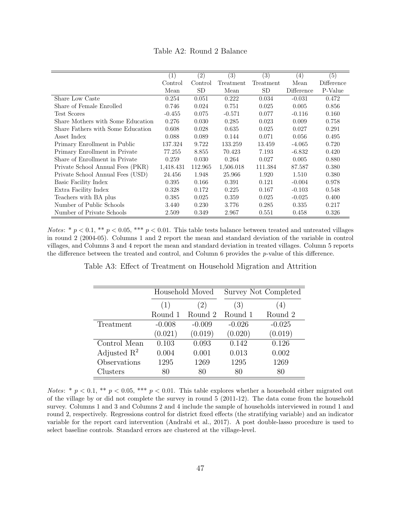| Table A2: Round 2 Balance |
|---------------------------|
|                           |

|                                   | $\left(1\right)$ | (2)       | $\left(3\right)$ | (3)       | $\left(4\right)$ | (5)        |
|-----------------------------------|------------------|-----------|------------------|-----------|------------------|------------|
|                                   | Control          | Control   | Treatment        | Treatment | Mean             | Difference |
|                                   | Mean             | <b>SD</b> | Mean             | <b>SD</b> | Difference       | P-Value    |
| Share Low Caste                   | 0.254            | 0.051     | 0.222            | 0.034     | $-0.031$         | 0.472      |
| Share of Female Enrolled          | 0.746            | 0.024     | 0.751            | 0.025     | 0.005            | 0.856      |
| <b>Test Scores</b>                | $-0.455$         | 0.075     | $-0.571$         | 0.077     | $-0.116$         | 0.160      |
| Share Mothers with Some Education | 0.276            | 0.030     | 0.285            | 0.023     | 0.009            | 0.758      |
| Share Fathers with Some Education | 0.608            | 0.028     | 0.635            | 0.025     | 0.027            | 0.291      |
| Asset Index                       | 0.088            | 0.089     | 0.144            | 0.071     | 0.056            | 0.495      |
| Primary Enrollment in Public      | 137.324          | 9.722     | 133.259          | 13.459    | $-4.065$         | 0.720      |
| Primary Enrollment in Private     | 77.255           | 8.855     | 70.423           | 7.193     | $-6.832$         | 0.420      |
| Share of Enrollment in Private    | 0.259            | 0.030     | 0.264            | 0.027     | 0.005            | 0.880      |
| Private School Annual Fees (PKR)  | 1,418.431        | 112.965   | 1,506.018        | 111.384   | 87.587           | 0.380      |
| Private School Annual Fees (USD)  | 24.456           | 1.948     | 25.966           | 1.920     | 1.510            | 0.380      |
| Basic Facility Index              | 0.395            | 0.166     | 0.391            | 0.121     | $-0.004$         | 0.978      |
| Extra Facility Index              | 0.328            | 0.172     | 0.225            | 0.167     | $-0.103$         | 0.548      |
| Teachers with BA plus             | 0.385            | 0.025     | 0.359            | 0.025     | $-0.025$         | 0.400      |
| Number of Public Schools          | 3.440            | 0.230     | 3.776            | 0.285     | 0.335            | 0.217      |
| Number of Private Schools         | 2.509            | 0.349     | 2.967            | 0.551     | 0.458            | 0.326      |

Notes: \*  $p < 0.1$ , \*\*  $p < 0.05$ , \*\*\*  $p < 0.01$ . This table tests balance between treated and untreated villages in round 2 (2004-05). Columns 1 and 2 report the mean and standard deviation of the variable in control villages, and Columns 3 and 4 report the mean and standard deviation in treated villages. Column 5 reports the difference between the treated and control, and Column 6 provides the p-value of this difference.

Table A3: Effect of Treatment on Household Migration and Attrition

|                         |            | Household Moved |          | Survey Not Completed |
|-------------------------|------------|-----------------|----------|----------------------|
|                         | (2)<br>(1) |                 | (3)      | (4)                  |
|                         | Round 1    | Round 2         | Round 1  | Round 2              |
| Treatment               | $-0.008$   | $-0.009$        | $-0.026$ | $-0.025$             |
|                         | (0.021)    | (0.019)         | (0.020)  | (0.019)              |
| Control Mean            | 0.103      | 0.093           | 0.142    | 0.126                |
| Adjusted $\mathbb{R}^2$ | 0.004      | 0.001           | 0.013    | 0.002                |
| Observations            | 1295       | 1269            | 1295     | 1269                 |
| Clusters                | 80         | 80              | 80       | 80                   |

Notes: \*  $p < 0.1$ , \*\*  $p < 0.05$ , \*\*\*  $p < 0.01$ . This table explores whether a household either migrated out of the village by or did not complete the survey in round 5 (2011-12). The data come from the household survey. Columns 1 and 3 and Columns 2 and 4 include the sample of households interviewed in round 1 and round 2, respectively. Regressions control for district fixed effects (the stratifying variable) and an indicator variable for the report card intervention (Andrabi et al., 2017). A post double-lasso procedure is used to select baseline controls. Standard errors are clustered at the village-level.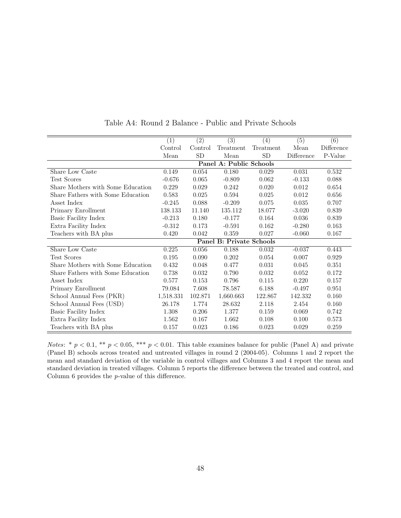|                                   | (1)       | (2)       | (3)                      | (4)       | (5)        | (6)        |
|-----------------------------------|-----------|-----------|--------------------------|-----------|------------|------------|
|                                   | Control   | Control   | Treatment                | Treatment | Mean       | Difference |
|                                   | Mean      | <b>SD</b> | Mean                     | <b>SD</b> | Difference | P-Value    |
|                                   |           |           | Panel A: Public Schools  |           |            |            |
| Share Low Caste                   | 0.149     | 0.054     | 0.180                    | 0.029     | 0.031      | 0.532      |
| <b>Test Scores</b>                | $-0.676$  | 0.065     | $-0.809$                 | 0.062     | $-0.133$   | 0.088      |
| Share Mothers with Some Education | 0.229     | 0.029     | 0.242                    | 0.020     | 0.012      | 0.654      |
| Share Fathers with Some Education | 0.583     | 0.025     | 0.594                    | 0.025     | 0.012      | 0.656      |
| Asset Index                       | $-0.245$  | 0.088     | $-0.209$                 | 0.075     | 0.035      | 0.707      |
| Primary Enrollment                | 138.133   | 11.140    | 135.112                  | 18.077    | $-3.020$   | 0.839      |
| Basic Facility Index              | $-0.213$  | 0.180     | $-0.177$                 | 0.164     | 0.036      | 0.839      |
| Extra Facility Index              | $-0.312$  | 0.173     | $-0.591$                 | 0.162     | $-0.280$   | 0.163      |
| Teachers with BA plus             | 0.420     | 0.042     | 0.359                    | 0.027     | $-0.060$   | 0.167      |
|                                   |           |           | Panel B: Private Schools |           |            |            |
| Share Low Caste                   | 0.225     | 0.056     | 0.188                    | 0.032     | $-0.037$   | 0.443      |
| Test Scores                       | 0.195     | 0.090     | 0.202                    | 0.054     | 0.007      | 0.929      |
| Share Mothers with Some Education | 0.432     | 0.048     | 0.477                    | 0.031     | 0.045      | 0.351      |
| Share Fathers with Some Education | 0.738     | 0.032     | 0.790                    | 0.032     | 0.052      | 0.172      |
| Asset Index                       | 0.577     | 0.153     | 0.796                    | 0.115     | 0.220      | 0.157      |
| Primary Enrollment                | 79.084    | 7.608     | 78.587                   | 6.188     | $-0.497$   | 0.951      |
| School Annual Fees (PKR)          | 1,518.331 | 102.871   | 1,660.663                | 122.867   | 142.332    | 0.160      |
| School Annual Fees (USD)          | 26.178    | 1.774     | 28.632                   | 2.118     | 2.454      | 0.160      |
| Basic Facility Index              | 1.308     | 0.206     | 1.377                    | 0.159     | 0.069      | 0.742      |
| Extra Facility Index              | 1.562     | 0.167     | 1.662                    | 0.108     | 0.100      | 0.573      |
| Teachers with BA plus             | 0.157     | 0.023     | 0.186                    | 0.023     | 0.029      | 0.259      |

Table A4: Round 2 Balance - Public and Private Schools

Notes: \*  $p < 0.1$ , \*\*  $p < 0.05$ , \*\*\*  $p < 0.01$ . This table examines balance for public (Panel A) and private (Panel B) schools across treated and untreated villages in round 2 (2004-05). Columns 1 and 2 report the mean and standard deviation of the variable in control villages and Columns 3 and 4 report the mean and standard deviation in treated villages. Column 5 reports the difference between the treated and control, and Column 6 provides the p-value of this difference.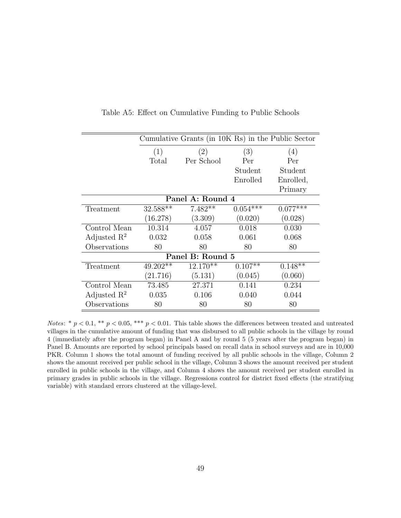|                         | Cumulative Grants (in 10K Rs) in the Public Sector |                  |            |            |  |  |  |
|-------------------------|----------------------------------------------------|------------------|------------|------------|--|--|--|
|                         | (1)                                                | (2)              | (3)        | (4)        |  |  |  |
|                         | Total                                              | Per School       | Per        | Per        |  |  |  |
|                         |                                                    |                  | Student    | Student    |  |  |  |
|                         |                                                    |                  | Enrolled   | Enrolled,  |  |  |  |
|                         |                                                    |                  |            | Primary    |  |  |  |
|                         |                                                    | Panel A: Round 4 |            |            |  |  |  |
| Treatment               | $32.588**$                                         | $7.482**$        | $0.054***$ | $0.077***$ |  |  |  |
|                         | (16.278)                                           | (3.309)          | (0.020)    | (0.028)    |  |  |  |
| Control Mean            | 10.314                                             | 4.057            | 0.018      | 0.030      |  |  |  |
| Adjusted $\mathbb{R}^2$ | 0.032                                              | 0.058            | 0.061      | 0.068      |  |  |  |
| Observations            | 80                                                 | 80               | 80         | 80         |  |  |  |
|                         |                                                    | Panel B: Round 5 |            |            |  |  |  |
| Treatment               | $49.202**$                                         | $12.170**$       | $0.107**$  | $0.148**$  |  |  |  |
|                         | (21.716)                                           | (5.131)          | (0.045)    | (0.060)    |  |  |  |
| Control Mean            | 73.485                                             | 27.371           | 0.141      | 0.234      |  |  |  |
| Adjusted $\mathbb{R}^2$ | 0.035                                              | 0.106            | 0.040      | 0.044      |  |  |  |
| Observations            | 80                                                 | 80               | 80         | 80         |  |  |  |

Table A5: Effect on Cumulative Funding to Public Schools

Notes: \*  $p < 0.1$ , \*\*  $p < 0.05$ , \*\*\*  $p < 0.01$ . This table shows the differences between treated and untreated villages in the cumulative amount of funding that was disbursed to all public schools in the village by round 4 (immediately after the program began) in Panel A and by round 5 (5 years after the program began) in Panel B. Amounts are reported by school principals based on recall data in school surveys and are in 10,000 PKR. Column 1 shows the total amount of funding received by all public schools in the village, Column 2 shows the amount received per public school in the village, Column 3 shows the amount received per student enrolled in public schools in the village, and Column 4 shows the amount received per student enrolled in primary grades in public schools in the village. Regressions control for district fixed effects (the stratifying variable) with standard errors clustered at the village-level.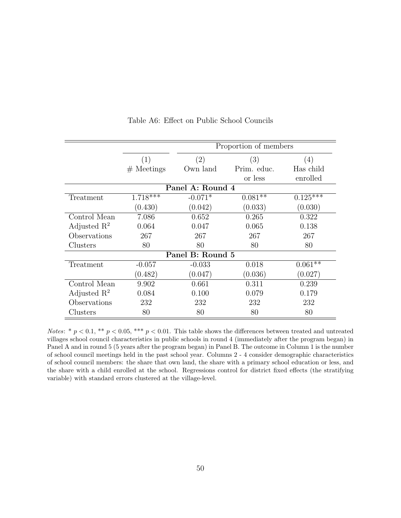|                         |              | Proportion of members |             |            |  |  |  |  |
|-------------------------|--------------|-----------------------|-------------|------------|--|--|--|--|
|                         | (1)          | (2)                   | (3)         | (4)        |  |  |  |  |
|                         | $#$ Meetings | Own land              | Prim. educ. | Has child  |  |  |  |  |
|                         |              |                       | or less     | enrolled   |  |  |  |  |
|                         |              | Panel A: Round 4      |             |            |  |  |  |  |
| Treatment               | $1.718***$   | $-0.071*$             | $0.081**$   | $0.125***$ |  |  |  |  |
|                         | (0.430)      | (0.042)               | (0.033)     | (0.030)    |  |  |  |  |
| Control Mean            | 7.086        | 0.652                 | 0.265       | 0.322      |  |  |  |  |
| Adjusted $\mathbb{R}^2$ | 0.064        | 0.047                 | 0.065       | 0.138      |  |  |  |  |
| Observations            | 267          | 267                   | 267         | 267        |  |  |  |  |
| Clusters                | 80           | 80                    | 80          | 80         |  |  |  |  |
|                         |              | Panel B: Round 5      |             |            |  |  |  |  |
| Treatment               | $-0.057$     | $-0.033$              | 0.018       | $0.061***$ |  |  |  |  |
|                         | (0.482)      | (0.047)               | (0.036)     | (0.027)    |  |  |  |  |
| Control Mean            | 9.902        | 0.661                 | 0.311       | 0.239      |  |  |  |  |
| Adjusted $\mathbb{R}^2$ | 0.084        | 0.100                 | 0.079       | 0.179      |  |  |  |  |
| Observations            | 232          | 232                   | 232         | 232        |  |  |  |  |
| Clusters                | 80           | 80                    | 80          | 80         |  |  |  |  |

Table A6: Effect on Public School Councils

Notes: \*  $p < 0.1$ , \*\*  $p < 0.05$ , \*\*\*  $p < 0.01$ . This table shows the differences between treated and untreated villages school council characteristics in public schools in round 4 (immediately after the program began) in Panel A and in round 5 (5 years after the program began) in Panel B. The outcome in Column 1 is the number of school council meetings held in the past school year. Columns 2 - 4 consider demographic characteristics of school council members: the share that own land, the share with a primary school education or less, and the share with a child enrolled at the school. Regressions control for district fixed effects (the stratifying variable) with standard errors clustered at the village-level.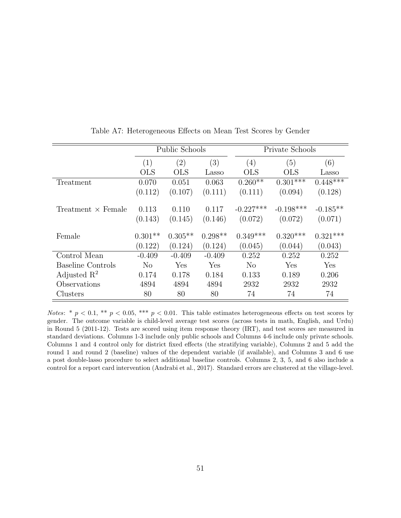|                           |                      | Public Schools       |                      | Private Schools        |                        |                       |  |
|---------------------------|----------------------|----------------------|----------------------|------------------------|------------------------|-----------------------|--|
|                           | (1)                  | $\left( 2\right)$    | (3)                  | (4)                    | (5)                    | (6)                   |  |
|                           | <b>OLS</b>           | <b>OLS</b>           | Lasso                | <b>OLS</b>             | <b>OLS</b>             | Lasso                 |  |
| Treatment                 | 0.070                | 0.051                | 0.063                | $0.260**$              | $0.301***$             | $0.448***$            |  |
|                           | (0.112)              | (0.107)              | (0.111)              | (0.111)                | (0.094)                | (0.128)               |  |
| Treatment $\times$ Female | 0.113<br>(0.143)     | 0.110<br>(0.145)     | 0.117<br>(0.146)     | $-0.227***$<br>(0.072) | $-0.198***$<br>(0.072) | $-0.185**$<br>(0.071) |  |
| Female                    | $0.301**$<br>(0.122) | $0.305**$<br>(0.124) | $0.298**$<br>(0.124) | $0.349***$<br>(0.045)  | $0.320***$<br>(0.044)  | $0.321***$<br>(0.043) |  |
| Control Mean              | $-0.409$             | $-0.409$             | $-0.409$             | 0.252                  | 0.252                  | 0.252                 |  |
| <b>Baseline Controls</b>  | N <sub>o</sub>       | Yes                  | Yes                  | $\rm No$               | Yes                    | Yes                   |  |
| Adjusted $\mathbb{R}^2$   | 0.174                | 0.178                | 0.184                | 0.133                  | 0.189                  | 0.206                 |  |
| Observations              | 4894                 | 4894                 | 4894                 | 2932                   | 2932                   | 2932                  |  |
| Clusters                  | 80                   | 80                   | 80                   | 74                     | 74                     | 74                    |  |

Table A7: Heterogeneous Effects on Mean Test Scores by Gender

Notes: \*  $p < 0.1$ , \*\*  $p < 0.05$ , \*\*\*  $p < 0.01$ . This table estimates heterogeneous effects on test scores by gender. The outcome variable is child-level average test scores (across tests in math, English, and Urdu) in Round 5 (2011-12). Tests are scored using item response theory (IRT), and test scores are measured in standard deviations. Columns 1-3 include only public schools and Columns 4-6 include only private schools. Columns 1 and 4 control only for district fixed effects (the stratifying variable), Columns 2 and 5 add the round 1 and round 2 (baseline) values of the dependent variable (if available), and Columns 3 and 6 use a post double-lasso procedure to select additional baseline controls. Columns 2, 3, 5, and 6 also include a control for a report card intervention (Andrabi et al., 2017). Standard errors are clustered at the village-level.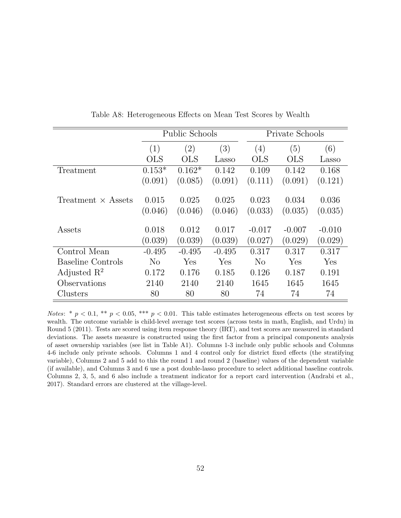|                           |                  | Public Schools    |                  | Private Schools  |                  |                  |  |
|---------------------------|------------------|-------------------|------------------|------------------|------------------|------------------|--|
|                           | (1)              | $\left( 2\right)$ | (3)              | (4)              | (5)              | (6)              |  |
|                           | <b>OLS</b>       | <b>OLS</b>        | Lasso            | <b>OLS</b>       | <b>OLS</b>       | Lasso            |  |
| Treatment                 | $0.153*$         | $0.162*$          | 0.142            | 0.109            | 0.142            | 0.168            |  |
|                           | (0.091)          | (0.085)           | (0.091)          | (0.111)          | (0.091)          | (0.121)          |  |
| Treatment $\times$ Assets | 0.015<br>(0.046) | 0.025<br>(0.046)  | 0.025<br>(0.046) | 0.023<br>(0.033) | 0.034<br>(0.035) | 0.036<br>(0.035) |  |
|                           |                  |                   |                  |                  |                  |                  |  |
| Assets                    | 0.018            | 0.012             | 0.017            | $-0.017$         | $-0.007$         | $-0.010$         |  |
|                           | (0.039)          | (0.039)           | (0.039)          | (0.027)          | (0.029)          | (0.029)          |  |
| Control Mean              | $-0.495$         | $-0.495$          | $-0.495$         | 0.317            | 0.317            | 0.317            |  |
| <b>Baseline Controls</b>  | $\rm No$         | Yes               | Yes              | $\rm No$         | Yes              | Yes              |  |
| Adjusted $\mathbb{R}^2$   | 0.172            | 0.176             | 0.185            | 0.126            | 0.187            | 0.191            |  |
| Observations              | 2140             | 2140              | 2140             | 1645             | 1645             | 1645             |  |
| Clusters                  | 80               | 80                | 80               | 74               | 74               | 74               |  |

Table A8: Heterogeneous Effects on Mean Test Scores by Wealth

Notes: \*  $p < 0.1$ , \*\*  $p < 0.05$ , \*\*\*  $p < 0.01$ . This table estimates heterogeneous effects on test scores by wealth. The outcome variable is child-level average test scores (across tests in math, English, and Urdu) in Round 5 (2011). Tests are scored using item response theory (IRT), and test scores are measured in standard deviations. The assets measure is constructed using the first factor from a principal components analysis of asset ownership variables (see list in Table A1). Columns 1-3 include only public schools and Columns 4-6 include only private schools. Columns 1 and 4 control only for district fixed effects (the stratifying variable), Columns 2 and 5 add to this the round 1 and round 2 (baseline) values of the dependent variable (if available), and Columns 3 and 6 use a post double-lasso procedure to select additional baseline controls. Columns 2, 3, 5, and 6 also include a treatment indicator for a report card intervention (Andrabi et al., 2017). Standard errors are clustered at the village-level.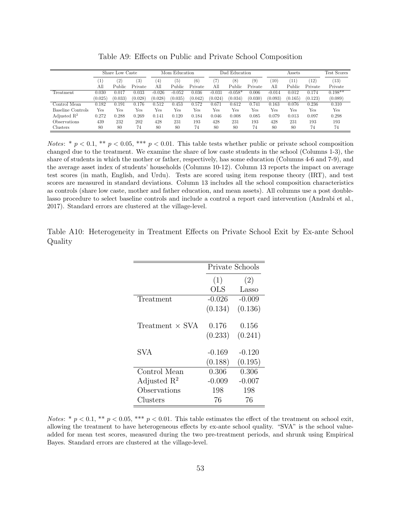|                         |                  | Share Low Caste |                   |                   | Education<br>Mom |         | Education<br>)ad |                  |         | Assets   |               |               | Test Scores |
|-------------------------|------------------|-----------------|-------------------|-------------------|------------------|---------|------------------|------------------|---------|----------|---------------|---------------|-------------|
|                         | $\left  \right $ | $^{'}2)$        | $\left( 3\right)$ | $\left( 4\right)$ | Έ,               | (6)     |                  | $\left[8\right]$ | (9)     | (10)     | $^{\prime}11$ | $^{\prime}12$ | (13)        |
|                         | All              | Public          | Private           | All               | Public           | Private | All              | Public           | Private | All      | Public        | Private       | Private     |
| Treatment               | 0.030            | 0.017           | 0.033             | $-0.026$          | $-0.052$         | 0.036   | $-0.031$         | $-0.058*$        | 0.006   | $-0.014$ | $\rm 0.012$   | 0.174         | $0.198**$   |
|                         | (0.025)          | (0.033)         | (0.028)           | (0.028)           | (0.035)          | (0.042) | (0.024)          | (0.034)          | (0.030) | (0.093)  | (0.165)       | (0.123)       | (0.089)     |
| Control Mean            | 0.182            | 0.191           | 0.176             | 0.512             | 0.453            | 0.572   | 0.671            | 0.612            | 0.741   | 0.163    | 0.076         | 0.236         | 0.310       |
| Baseline Controls       | Yes              | Yes             | Yes               | Yes               | Yes              | Yes     | Yes              | Yes              | Yes     | Yes      | Yes           | Yes           | Yes         |
| Adjusted $\mathbb{R}^2$ | 0.272            | 0.288           | 0.269             | 0.141             | 0.120            | 0.184   | 0.046            | 0.008            | 0.085   | 0.079    | 0.013         | 0.097         | 0.298       |
| Observations            | 439              | 232             | 202               | 428               | 231              | 193     | 428              | 231              | 193     | 428      | 231           | 193           | 193         |
| Clusters                | 80               | 80              | 74                | 80                | 80               | 74      | 80               | 80               | 74      | 80       | 80            | 74            | 74          |

Table A9: Effects on Public and Private School Composition

Notes: \*  $p < 0.1$ , \*\*  $p < 0.05$ , \*\*\*  $p < 0.01$ . This table tests whether public or private school composition changed due to the treatment. We examine the share of low caste students in the school (Columns 1-3), the share of students in which the mother or father, respectively, has some education (Columns 4-6 and 7-9), and the average asset index of students' households (Columns 10-12). Column 13 reports the impact on average test scores (in math, English, and Urdu). Tests are scored using item response theory (IRT), and test scores are measured in standard deviations. Column 13 includes all the school composition characteristics as controls (share low caste, mother and father education, and mean assets). All columns use a post doublelasso procedure to select baseline controls and include a control a report card intervention (Andrabi et al., 2017). Standard errors are clustered at the village-level.

Table A10: Heterogeneity in Treatment Effects on Private School Exit by Ex-ante School Quality

|                         |                     | Private Schools     |
|-------------------------|---------------------|---------------------|
|                         | (1)                 | (2)                 |
|                         | <b>OLS</b>          | Lasso               |
| Treatment               | $-0.026$            | $-0.009$            |
|                         | (0.134)             | (0.136)             |
| Treatment $\times$ SVA  | 0.176<br>(0.233)    | 0.156<br>(0.241)    |
| SVA                     | $-0.169$<br>(0.188) | $-0.120$<br>(0.195) |
| Control Mean            | 0.306               | 0.306               |
| Adjusted $\mathbb{R}^2$ | $-0.009$            | $-0.007$            |
| Observations            | 198                 | 198                 |
| Clusters                | 76                  | 76                  |

Notes: \*  $p < 0.1$ , \*\*  $p < 0.05$ , \*\*\*  $p < 0.01$ . This table estimates the effect of the treatment on school exit, allowing the treatment to have heterogeneous effects by ex-ante school quality. "SVA" is the school valueadded for mean test scores, measured during the two pre-treatment periods, and shrunk using Empirical Bayes. Standard errors are clustered at the village-level.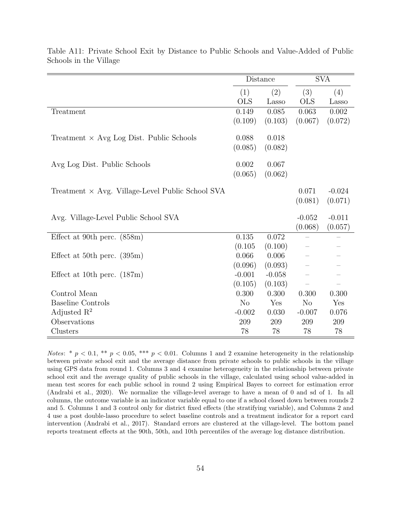|                                                         | Distance   |          | <b>SVA</b>     |          |
|---------------------------------------------------------|------------|----------|----------------|----------|
|                                                         | (1)        | (2)      | (3)            | (4)      |
|                                                         | <b>OLS</b> | Lasso    | <b>OLS</b>     | Lasso    |
| Treatment                                               | 0.149      | 0.085    | 0.063          | 0.002    |
|                                                         | (0.109)    | (0.103)  | (0.067)        | (0.072)  |
| Treatment $\times$ Avg Log Dist. Public Schools         | 0.088      | 0.018    |                |          |
|                                                         | (0.085)    | (0.082)  |                |          |
|                                                         |            |          |                |          |
| Avg Log Dist. Public Schools                            | 0.002      | 0.067    |                |          |
|                                                         | (0.065)    | (0.062)  |                |          |
|                                                         |            |          |                |          |
| Treatment $\times$ Avg. Village-Level Public School SVA |            |          | 0.071          | $-0.024$ |
|                                                         |            |          | (0.081)        | (0.071)  |
| Avg. Village-Level Public School SVA                    |            |          | $-0.052$       | $-0.011$ |
|                                                         |            |          | (0.068)        | (0.057)  |
| Effect at 90th perc. $(858m)$                           | 0.135      | 0.072    |                |          |
|                                                         | (0.105)    | (0.100)  |                |          |
| Effect at 50th perc. $(395m)$                           | 0.066      | 0.006    |                |          |
|                                                         | (0.096)    | (0.093)  |                |          |
| Effect at 10th perc. $(187m)$                           | $-0.001$   | $-0.058$ |                |          |
|                                                         | (0.105)    | (0.103)  |                |          |
| Control Mean                                            | 0.300      | 0.300    | 0.300          | 0.300    |
| <b>Baseline Controls</b>                                | No         | Yes      | N <sub>o</sub> | Yes      |
| Adjusted $\mathbb{R}^2$                                 | $-0.002$   | 0.030    | $-0.007$       | 0.076    |
| Observations                                            | 209        | 209      | 209            | 209      |
| Clusters                                                | 78         | 78       | 78             | 78       |

Table A11: Private School Exit by Distance to Public Schools and Value-Added of Public Schools in the Village

Notes: \*  $p < 0.1$ , \*\*  $p < 0.05$ , \*\*\*  $p < 0.01$ . Columns 1 and 2 examine heterogeneity in the relationship between private school exit and the average distance from private schools to public schools in the village using GPS data from round 1. Columns 3 and 4 examine heterogeneity in the relationship between private school exit and the average quality of public schools in the village, calculated using school value-added in mean test scores for each public school in round 2 using Empirical Bayes to correct for estimation error (Andrabi et al., 2020). We normalize the village-level average to have a mean of 0 and sd of 1. In all columns, the outcome variable is an indicator variable equal to one if a school closed down between rounds 2 and 5. Columns 1 and 3 control only for district fixed effects (the stratifying variable), and Columns 2 and 4 use a post double-lasso procedure to select baseline controls and a treatment indicator for a report card intervention (Andrabi et al., 2017). Standard errors are clustered at the village-level. The bottom panel reports treatment effects at the 90th, 50th, and 10th percentiles of the average log distance distribution.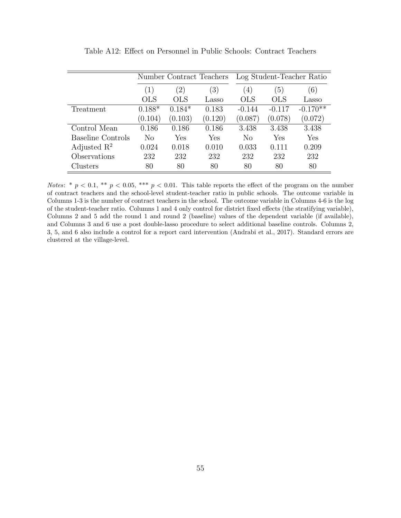|                          |            |                   | Number Contract Teachers | Log Student-Teacher Ratio |                  |            |  |
|--------------------------|------------|-------------------|--------------------------|---------------------------|------------------|------------|--|
|                          | (1)        | $\left( 2\right)$ | (3)                      | $\left(4\right)$          | $\left(5\right)$ | (6)        |  |
|                          | <b>OLS</b> | <b>OLS</b>        | Lasso                    | <b>OLS</b>                | <b>OLS</b>       | Lasso      |  |
| Treatment                | $0.188*$   | $0.184*$          | 0.183                    | $-0.144$                  | $-0.117$         | $-0.170**$ |  |
|                          | (0.104)    | (0.103)           | (0.120)                  | (0.087)                   | (0.078)          | (0.072)    |  |
| Control Mean             | 0.186      | 0.186             | 0.186                    | 3.438                     | 3.438            | 3.438      |  |
| <b>Baseline Controls</b> | No         | Yes               | Yes                      | No                        | Yes              | Yes        |  |
| Adjusted $\mathbb{R}^2$  | 0.024      | 0.018             | 0.010                    | 0.033                     | 0.111            | 0.209      |  |
| Observations             | 232        | 232               | 232                      | 232                       | 232              | 232        |  |
| Clusters                 | 80         | 80                | 80                       | 80                        | 80               | 80         |  |

Table A12: Effect on Personnel in Public Schools: Contract Teachers

Notes: \*  $p < 0.1$ , \*\*  $p < 0.05$ , \*\*\*  $p < 0.01$ . This table reports the effect of the program on the number of contract teachers and the school-level student-teacher ratio in public schools. The outcome variable in Columns 1-3 is the number of contract teachers in the school. The outcome variable in Columns 4-6 is the log of the student-teacher ratio. Columns 1 and 4 only control for district fixed effects (the stratifying variable), Columns 2 and 5 add the round 1 and round 2 (baseline) values of the dependent variable (if available), and Columns 3 and 6 use a post double-lasso procedure to select additional baseline controls. Columns 2, 3, 5, and 6 also include a control for a report card intervention (Andrabi et al., 2017). Standard errors are clustered at the village-level.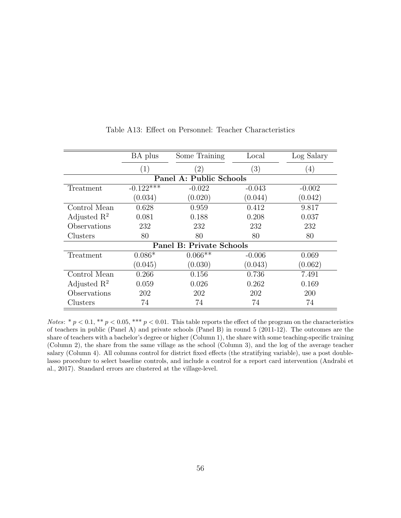|                                 | BA plus     | Some Training     | Local    | Log Salary |  |  |  |  |  |  |
|---------------------------------|-------------|-------------------|----------|------------|--|--|--|--|--|--|
|                                 | (1)         | $\left( 2\right)$ | (3)      | (4)        |  |  |  |  |  |  |
| Panel A: Public Schools         |             |                   |          |            |  |  |  |  |  |  |
| Treatment                       | $-0.122***$ | $-0.022$          | $-0.043$ | $-0.002$   |  |  |  |  |  |  |
|                                 | (0.034)     | (0.020)           | (0.044)  | (0.042)    |  |  |  |  |  |  |
| Control Mean                    | 0.628       | 0.959             | 0.412    | 9.817      |  |  |  |  |  |  |
| Adjusted $\mathbb{R}^2$         | 0.081       | 0.188             | 0.208    | 0.037      |  |  |  |  |  |  |
| Observations                    | 232         | 232               | 232      | 232        |  |  |  |  |  |  |
| Clusters                        | 80          | 80                | 80       | 80         |  |  |  |  |  |  |
| <b>Panel B: Private Schools</b> |             |                   |          |            |  |  |  |  |  |  |
| Treatment                       | $0.086*$    | $0.066**$         | $-0.006$ | 0.069      |  |  |  |  |  |  |
|                                 | (0.045)     | (0.030)           | (0.043)  | (0.062)    |  |  |  |  |  |  |
| Control Mean                    | 0.266       | 0.156             | 0.736    | 7.491      |  |  |  |  |  |  |
| Adjusted $\mathbb{R}^2$         | 0.059       | 0.026             | 0.262    | 0.169      |  |  |  |  |  |  |
| Observations                    | 202         | 202               | 202      | 200        |  |  |  |  |  |  |
| Clusters                        | 74          | 74                | 74       | 74         |  |  |  |  |  |  |

#### Table A13: Effect on Personnel: Teacher Characteristics

Notes: \*  $p < 0.1$ , \*\*  $p < 0.05$ , \*\*\*  $p < 0.01$ . This table reports the effect of the program on the characteristics of teachers in public (Panel A) and private schools (Panel B) in round 5 (2011-12). The outcomes are the share of teachers with a bachelor's degree or higher (Column 1), the share with some teaching-specific training (Column 2), the share from the same village as the school (Column 3), and the log of the average teacher salary (Column 4). All columns control for district fixed effects (the stratifying variable), use a post doublelasso procedure to select baseline controls, and include a control for a report card intervention (Andrabi et al., 2017). Standard errors are clustered at the village-level.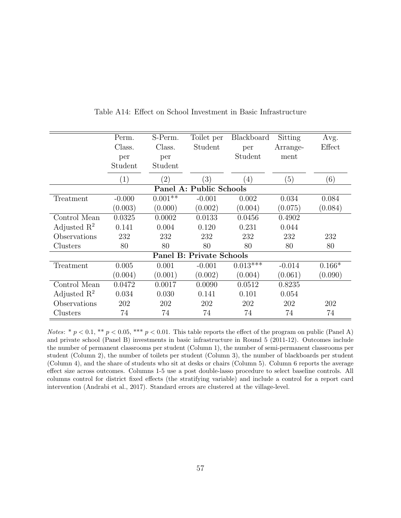|                         | Perm.    | S-Perm.           | Toilet per                      | Blackboard        | Sitting  | Avg.     |
|-------------------------|----------|-------------------|---------------------------------|-------------------|----------|----------|
|                         | Class.   | Class.            | Student                         | per               | Arrange- | Effect   |
|                         | per      | per               |                                 | Student           | ment     |          |
|                         | Student  | Student           |                                 |                   |          |          |
|                         | (1)      | $\left( 2\right)$ | (3)                             | $\left( 4\right)$ | (5)      | (6)      |
|                         |          |                   | Panel A: Public Schools         |                   |          |          |
| Treatment               | $-0.000$ | $0.001**$         | $-0.001$                        | 0.002             | 0.034    | 0.084    |
|                         | (0.003)  | (0.000)           | (0.002)                         | (0.004)           | (0.075)  | (0.084)  |
| Control Mean            | 0.0325   | 0.0002            | 0.0133                          | 0.0456            | 0.4902   |          |
| Adjusted $R^2$          | 0.141    | 0.004             | 0.120                           | 0.231             | 0.044    |          |
| Observations            | 232      | 232               | 232                             | 232               | 232      | 232      |
| Clusters                | 80       | 80                | 80                              | 80                | 80       | 80       |
|                         |          |                   | <b>Panel B: Private Schools</b> |                   |          |          |
| Treatment               | 0.005    | 0.001             | $-0.001$                        | $0.013***$        | $-0.014$ | $0.166*$ |
|                         | (0.004)  | (0.001)           | (0.002)                         | (0.004)           | (0.061)  | (0.090)  |
| Control Mean            | 0.0472   | 0.0017            | 0.0090                          | 0.0512            | 0.8235   |          |
| Adjusted $\mathbb{R}^2$ | 0.034    | 0.030             | 0.141                           | 0.101             | 0.054    |          |
| Observations            | 202      | 202               | 202                             | 202               | 202      | 202      |
| Clusters                | 74       | 74                | 74                              | 74                | 74       | 74       |

Table A14: Effect on School Investment in Basic Infrastructure

Notes: \*  $p < 0.1$ , \*\*  $p < 0.05$ , \*\*\*  $p < 0.01$ . This table reports the effect of the program on public (Panel A) and private school (Panel B) investments in basic infrastructure in Round 5 (2011-12). Outcomes include the number of permanent classrooms per student (Column 1), the number of semi-permanent classrooms per student (Column 2), the number of toilets per student (Column 3), the number of blackboards per student (Column 4), and the share of students who sit at desks or chairs (Column 5). Column 6 reports the average effect size across outcomes. Columns 1-5 use a post double-lasso procedure to select baseline controls. All columns control for district fixed effects (the stratifying variable) and include a control for a report card intervention (Andrabi et al., 2017). Standard errors are clustered at the village-level.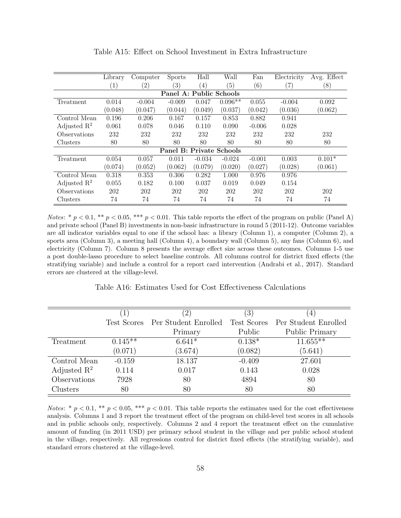|                         | Library           | Computer | <b>Sports</b>                   | Hall             | Wall      | Fan               | Electricity       | Avg. Effect |  |  |
|-------------------------|-------------------|----------|---------------------------------|------------------|-----------|-------------------|-------------------|-------------|--|--|
|                         | $\left( 1\right)$ | (2)      | (3)                             | $\left(4\right)$ | (5)       | $\left( 6\right)$ | $\left( 7\right)$ | (8)         |  |  |
| Panel A: Public Schools |                   |          |                                 |                  |           |                   |                   |             |  |  |
| Treatment               | 0.014             | $-0.004$ | $-0.009$                        | 0.047            | $0.096**$ | 0.055             | $-0.004$          | 0.092       |  |  |
|                         | (0.048)           | (0.047)  | (0.044)                         | (0.049)          | (0.037)   | (0.042)           | (0.036)           | (0.062)     |  |  |
| Control Mean            | 0.196             | 0.206    | 0.167                           | 0.157            | 0.853     | 0.882             | 0.941             |             |  |  |
| Adjusted $\mathbb{R}^2$ | 0.061             | 0.078    | 0.046                           | 0.110            | 0.090     | $-0.006$          | 0.028             |             |  |  |
| Observations            | 232               | 232      | 232                             | 232              | 232       | 232               | 232               | 232         |  |  |
| Clusters                | 80                | 80       | 80                              | 80               | 80        | 80                | 80                | 80          |  |  |
|                         |                   |          | <b>Panel B: Private Schools</b> |                  |           |                   |                   |             |  |  |
| Treatment               | 0.054             | 0.057    | 0.011                           | $-0.034$         | $-0.024$  | $-0.001$          | 0.003             | $0.101*$    |  |  |
|                         | (0.074)           | (0.052)  | (0.062)                         | (0.079)          | (0.020)   | (0.027)           | (0.028)           | (0.061)     |  |  |
| Control Mean            | 0.318             | 0.353    | 0.306                           | 0.282            | 1.000     | 0.976             | 0.976             |             |  |  |
| Adjusted $\mathbb{R}^2$ | 0.055             | 0.182    | 0.100                           | 0.037            | 0.019     | 0.049             | 0.154             |             |  |  |
| Observations            | 202               | 202      | 202                             | 202              | 202       | 202               | 202               | 202         |  |  |
| Clusters                | 74                | 74       | 74                              | 74               | 74        | 74                | 74                | 74          |  |  |

Table A15: Effect on School Investment in Extra Infrastructure

Notes: \*  $p < 0.1$ , \*\*  $p < 0.05$ , \*\*\*  $p < 0.01$ . This table reports the effect of the program on public (Panel A) and private school (Panel B) investments in non-basic infrastructure in round 5 (2011-12). Outcome variables are all indicator variables equal to one if the school has: a library (Column 1), a computer (Column 2), a sports area (Column 3), a meeting hall (Column 4), a boundary wall (Column 5), any fans (Column 6), and electricity (Column 7). Column 8 presents the average effect size across these outcomes. Columns 1-5 use a post double-lasso procedure to select baseline controls. All columns control for district fixed effects (the stratifying variable) and include a control for a report card intervention (Andrabi et al., 2017). Standard errors are clustered at the village-level.

Table A16: Estimates Used for Cost Effectiveness Calculations

|                         |           | $^{\prime}2)$                    | $\left(3\right)$ | 4                     |
|-------------------------|-----------|----------------------------------|------------------|-----------------------|
|                         |           | Test Scores Per Student Enrolled | Test Scores      | Per Student Enrolled  |
|                         |           | Primary                          | Public           | <b>Public Primary</b> |
| Treatment               | $0.145**$ | $6.641*$                         | $0.138*$         | $11.655***$           |
|                         | (0.071)   | (3.674)                          | (0.082)          | (5.641)               |
| Control Mean            | $-0.159$  | 18.137                           | $-0.409$         | 27.601                |
| Adjusted $\mathbb{R}^2$ | 0.114     | 0.017                            | 0.143            | 0.028                 |
| Observations            | 7928      | 80                               | 4894             | 80                    |
| Clusters                | 80        | 80                               | 80               | 80                    |

Notes: \*  $p < 0.1$ , \*\*  $p < 0.05$ , \*\*\*  $p < 0.01$ . This table reports the estimates used for the cost effectiveness analysis. Columns 1 and 3 report the treatment effect of the program on child-level test scores in all schools and in public schools only, respectively. Columns 2 and 4 report the treatment effect on the cumulative amount of funding (in 2011 USD) per primary school student in the village and per public school student in the village, respectively. All regressions control for district fixed effects (the stratifying variable), and standard errors clustered at the village-level.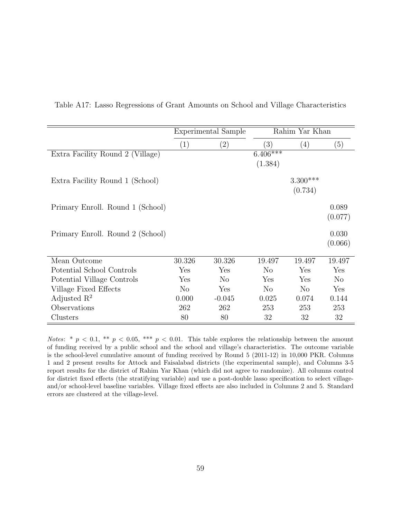|                                  |                | Experimental Sample | Rahim Yar Khan |            |          |  |
|----------------------------------|----------------|---------------------|----------------|------------|----------|--|
|                                  | (1)            | (2)                 | (3)            | (4)        | (5)      |  |
| Extra Facility Round 2 (Village) |                |                     | $6.406***$     |            |          |  |
|                                  |                |                     | (1.384)        |            |          |  |
| Extra Facility Round 1 (School)  |                |                     |                | $3.300***$ |          |  |
|                                  |                |                     |                | (0.734)    |          |  |
|                                  |                |                     |                |            |          |  |
| Primary Enroll. Round 1 (School) |                |                     |                |            | 0.089    |  |
|                                  |                |                     |                |            | (0.077)  |  |
| Primary Enroll. Round 2 (School) |                |                     |                |            | 0.030    |  |
|                                  |                |                     |                |            | (0.066)  |  |
|                                  |                |                     |                |            |          |  |
| Mean Outcome                     | 30.326         | 30.326              | 19.497         | 19.497     | 19.497   |  |
| Potential School Controls        | Yes            | Yes                 | N <sub>o</sub> | Yes        | Yes      |  |
| Potential Village Controls       | Yes            | $\rm No$            | Yes            | Yes        | $\rm No$ |  |
| Village Fixed Effects            | N <sub>o</sub> | Yes                 | N <sub>o</sub> | $\rm No$   | Yes      |  |
| Adjusted $\mathbb{R}^2$          | 0.000          | $-0.045$            | 0.025          | 0.074      | 0.144    |  |
| Observations                     | 262            | 262                 | 253            | 253        | 253      |  |
| Clusters                         | 80             | 80                  | 32             | 32         | 32       |  |

Table A17: Lasso Regressions of Grant Amounts on School and Village Characteristics

Notes: \*  $p < 0.1$ , \*\*  $p < 0.05$ , \*\*\*  $p < 0.01$ . This table explores the relationship between the amount of funding received by a public school and the school and village's characteristics. The outcome variable is the school-level cumulative amount of funding received by Round 5 (2011-12) in 10,000 PKR. Columns 1 and 2 present results for Attock and Faisalabad districts (the experimental sample), and Columns 3-5 report results for the district of Rahim Yar Khan (which did not agree to randomize). All columns control for district fixed effects (the stratifying variable) and use a post-double lasso specification to select villageand/or school-level baseline variables. Village fixed effects are also included in Columns 2 and 5. Standard errors are clustered at the village-level.